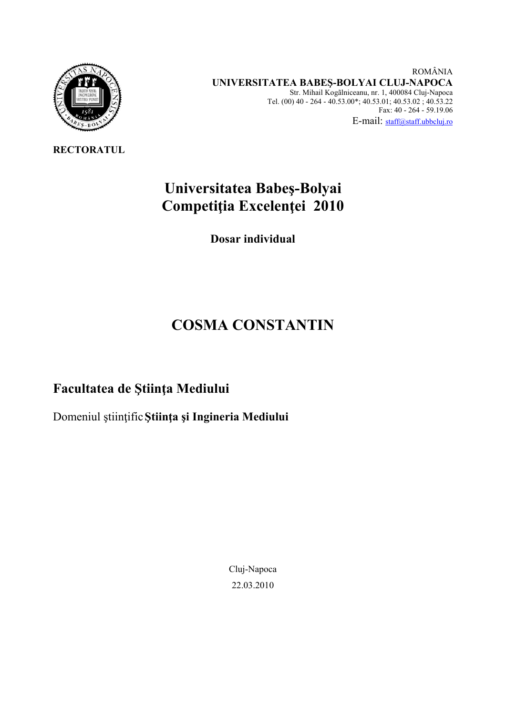

**RECTORATUL** 

 ROMÂNIA  **UNIVERSITATEA BABEŞ-BOLYAI CLUJ-NAPOCA**  Str. Mihail Kogãlniceanu, nr. 1, 400084 Cluj-Napoca Tel. (00) 40 - 264 - 40.53.00\*; 40.53.01; 40.53.02 ; 40.53.22 Fax: 40 - 264 - 59.19.06 E-mail: staff@staff.ubbcluj.ro

# **Universitatea Babeş-Bolyai Competiţia Excelenţei 2010**

**Dosar individual** 

# **COSMA CONSTANTIN**

# **Facultatea de Ştiinţa Mediului**

Domeniul ştiinţific**Ştiinţa şi Ingineria Mediului** 

Cluj-Napoca 22.03.2010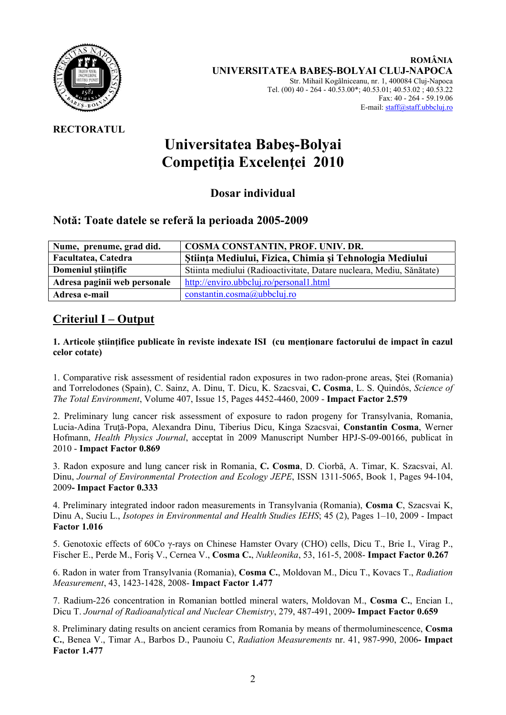

# **RECTORATUL**

# **Universitatea Babeş-Bolyai Competiţia Excelenţei 2010**

**Dosar individual** 

# **Notă: Toate datele se referă la perioada 2005-2009**

| Nume, prenume, grad did.     | <b>COSMA CONSTANTIN, PROF. UNIV. DR.</b>                             |
|------------------------------|----------------------------------------------------------------------|
| Facultatea, Catedra          | Stiința Mediului, Fizica, Chimia și Tehnologia Mediului              |
| Domeniul stiintific          | Stiinta mediului (Radioactivitate, Datare nucleara, Mediu, Sănătate) |
| Adresa paginii web personale | http://enviro.ubbcluj.ro/personal1.html                              |
| Adresa e-mail                | constantin.cosma@ubbcluj.ro                                          |

# **Criteriul I – Output**

#### **1. Articole ştiinţifice publicate în reviste indexate ISI (cu menţionare factorului de impact în cazul celor cotate)**

1. Comparative risk assessment of residential radon exposures in two radon-prone areas, Ştei (Romania) and Torrelodones (Spain), C. Sainz, A. Dinu, T. Dicu, K. Szacsvai, **C. Cosma**, L. S. Quindós, *Science of The Total Environment*, Volume 407, Issue 15, Pages 4452-4460, 2009 - **Impact Factor 2.579** 

2. Preliminary lung cancer risk assessment of exposure to radon progeny for Transylvania, Romania, Lucia-Adina Truţă-Popa, Alexandra Dinu, Tiberius Dicu, Kinga Szacsvai, **Constantin Cosma**, Werner Hofmann, *Health Physics Journal*, acceptat în 2009 Manuscript Number HPJ-S-09-00166, publicat în 2010 - **Impact Factor 0.869** 

3. Radon exposure and lung cancer risk in Romania, **C. Cosma**, D. Ciorbă, A. Timar, K. Szacsvai, Al. Dinu, *Journal of Environmental Protection and Ecology JEPE*, ISSN 1311-5065, Book 1, Pages 94-104, 2009**- Impact Factor 0.333** 

4. Preliminary integrated indoor radon measurements in Transylvania (Romania), **Cosma C**, Szacsvai K, Dinu A, Suciu L., *Isotopes in Environmental and Health Studies IEHS*; 45 (2), Pages 1–10, 2009 - Impact **Factor 1.016** 

5. Genotoxic effects of 60Co γ-rays on Chinese Hamster Ovary (CHO) cells, Dicu T., Brie I., Virag P., Fischer E., Perde M., Foriş V., Cernea V., **Cosma C.**, *Nukleonika*, 53, 161-5, 2008- **Impact Factor 0.267**

6. Radon in water from Transylvania (Romania), **Cosma C.**, Moldovan M., Dicu T., Kovacs T., *Radiation Measurement*, 43, 1423-1428, 2008- **Impact Factor 1.477** 

7. Radium-226 concentration in Romanian bottled mineral waters, Moldovan M., **Cosma C.**, Encian I., Dicu T. *Journal of Radioanalytical and Nuclear Chemistry*, 279, 487-491, 2009**- Impact Factor 0.659** 

8. Preliminary dating results on ancient ceramics from Romania by means of thermoluminescence, **Cosma C.**, Benea V., Timar A., Barbos D., Paunoiu C, *Radiation Measurements* nr. 41, 987-990, 2006**- Impact Factor 1.477**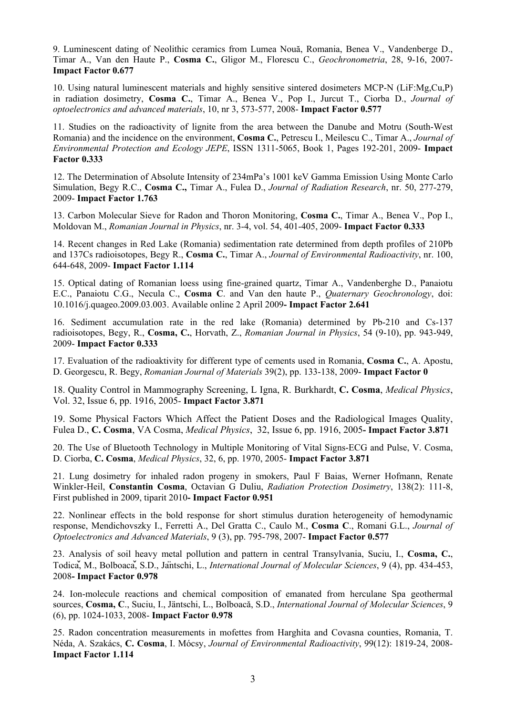9. Luminescent dating of Neolithic ceramics from Lumea Nouă, Romania, Benea V., Vandenberge D., Timar A., Van den Haute P., **Cosma C.**, Gligor M., Florescu C., *Geochronometria*, 28, 9-16, 2007- **Impact Factor 0.677** 

10. Using natural luminescent materials and highly sensitive sintered dosimeters MCP-N (LiF:Mg,Cu,P) in radiation dosimetry, **Cosma C.**, Timar A., Benea V., Pop I., Jurcut T., Ciorba D., *Journal of optoelectronics and advanced materials*, 10, nr 3, 573-577, 2008- **Impact Factor 0.577** 

11. Studies on the radioactivity of lignite from the area between the Danube and Motru (South-West Romania) and the incidence on the environment, **Cosma C.**, Petrescu I., Meilescu C., Timar A., *Journal of Environmental Protection and Ecology JEPE*, ISSN 1311-5065, Book 1, Pages 192-201, 2009- **Impact Factor 0.333** 

12. The Determination of Absolute Intensity of 234mPa's 1001 keV Gamma Emission Using Monte Carlo Simulation, Begy R.C., **Cosma C.,** Timar A., Fulea D., *Journal of Radiation Research*, nr. 50, 277-279, 2009- **Impact Factor 1.763** 

13. Carbon Molecular Sieve for Radon and Thoron Monitoring, **Cosma C.**, Timar A., Benea V., Pop I., Moldovan M., *Romanian Journal in Physics*, nr. 3-4, vol. 54, 401-405, 2009- **Impact Factor 0.333** 

14. Recent changes in Red Lake (Romania) sedimentation rate determined from depth profiles of 210Pb and 137Cs radioisotopes, Begy R., **Cosma C.**, Timar A., *Journal of Environmental Radioactivity*, nr. 100, 644-648, 2009- **Impact Factor 1.114** 

15. Optical dating of Romanian loess using fine-grained quartz, Timar A., Vandenberghe D., Panaiotu E.C., Panaiotu C.G., Necula C., **Cosma C**. and Van den haute P., *Quaternary Geochronology*, doi: 10.1016/j.quageo.2009.03.003. Available online 2 April 2009**- Impact Factor 2.641** 

16. Sediment accumulation rate in the red lake (Romania) determined by Pb-210 and Cs-137 radioisotopes, Begy, R., **Cosma, C.**, Horvath, Z., *Romanian Journal in Physics*, 54 (9-10), pp. 943-949, 2009- **Impact Factor 0.333** 

17. Evaluation of the radioaktivity for different type of cements used in Romania, **Cosma C.**, A. Apostu, D. Georgescu, R. Begy, *Romanian Journal of Materials* 39(2), pp. 133-138, 2009- **Impact Factor 0**

18. Quality Control in Mammography Screening, L Igna, R. Burkhardt, **C. Cosma**, *Medical Physics*, Vol. 32, Issue 6, pp. 1916, 2005- **Impact Factor 3.871** 

19. Some Physical Factors Which Affect the Patient Doses and the Radiological Images Quality, Fulea D., **C. Cosma**, VA Cosma, *Medical Physics*, 32, Issue 6, pp. 1916, 2005**- Impact Factor 3.871** 

20. The Use of Bluetooth Technology in Multiple Monitoring of Vital Signs-ECG and Pulse, V. Cosma, D. Ciorba, **C. Cosma**, *Medical Physics*, 32, 6, pp. 1970, 2005- **Impact Factor 3.871** 

21. Lung dosimetry for inhaled radon progeny in smokers, Paul F Baias, Werner Hofmann, Renate Winkler-Heil, **Constantin Cosma**, Octavian G Duliu, *Radiation Protection Dosimetry*, 138(2): 111-8, First published in 2009, tiparit 2010**- Impact Factor 0.951** 

22. Nonlinear effects in the bold response for short stimulus duration heterogeneity of hemodynamic response, Mendichovszky I., Ferretti A., Del Gratta C., Caulo M., **Cosma C**., Romani G.L., *Journal of Optoelectronics and Advanced Materials*, 9 (3), pp. 795-798, 2007- **Impact Factor 0.577** 

23. Analysis of soil heavy metal pollution and pattern in central Transylvania, Suciu, I., **Cosma, C.**, Todicǎ, M., Bolboacǎ, S.D., Jäntschi, L., *International Journal of Molecular Sciences*, 9 (4), pp. 434-453, 2008**- Impact Factor 0.978** 

24. Ion-molecule reactions and chemical composition of emanated from herculane Spa geothermal sources, **Cosma, C**., Suciu, I., Jäntschi, L., Bolboacǎ, S.D., *International Journal of Molecular Sciences*, 9 (6), pp. 1024-1033, 2008- **Impact Factor 0.978** 

25. Radon concentration measurements in mofettes from Harghita and Covasna counties, Romania, T. Néda, A. Szakács, **C. Cosma**, I. Mócsy, *Journal of Environmental Radioactivity*, 99(12): 1819-24, 2008- **Impact Factor 1.114**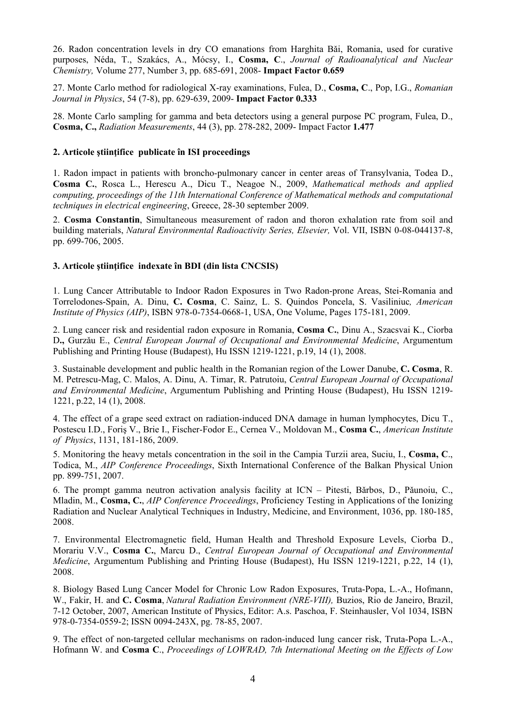26. Radon concentration levels in dry CO emanations from Harghita Bǎi, Romania, used for curative purposes, Néda, T., Szakács, A., Mócsy, I., **Cosma, C**., *Journal of Radioanalytical and Nuclear Chemistry,* Volume 277, Number 3, pp. 685-691, 2008- **Impact Factor 0.659** 

27. Monte Carlo method for radiological X-ray examinations, Fulea, D., **Cosma, C**., Pop, I.G., *Romanian Journal in Physics*, 54 (7-8), pp. 629-639, 2009- **Impact Factor 0.333** 

28. Monte Carlo sampling for gamma and beta detectors using a general purpose PC program, Fulea, D., **Cosma, C.,** *Radiation Measurements*, 44 (3), pp. 278-282, 2009- Impact Factor **1.477** 

#### **2. Articole ştiinţifice publicate în ISI proceedings**

1. Radon impact in patients with broncho-pulmonary cancer in center areas of Transylvania, Todea D., **Cosma C.**, Rosca L., Herescu A., Dicu T., Neagoe N., 2009, *Mathematical methods and applied computing, proceedings of the 11th International Conference of Mathematical methods and computational techniques in electrical engineering*, Greece, 28-30 september 2009.

2. **Cosma Constantin**, Simultaneous measurement of radon and thoron exhalation rate from soil and building materials, *Natural Environmental Radioactivity Series, Elsevier,* Vol. VII, ISBN 0-08-044137-8, pp. 699-706, 2005.

#### **3. Articole ştiinţifice indexate în BDI (din lista CNCSIS)**

1. Lung Cancer Attributable to Indoor Radon Exposures in Two Radon-prone Areas, Stei-Romania and Torrelodones-Spain, A. Dinu, **C. Cosma**, C. Sainz, L. S. Quindos Poncela, S. Vasiliniuc*, American Institute of Physics (AIP)*, ISBN 978-0-7354-0668-1, USA, One Volume, Pages 175-181, 2009.

2. Lung cancer risk and residential radon exposure in Romania, **Cosma C.**, Dinu A., Szacsvai K., Ciorba D**.,** Gurzǎu E., *Central European Journal of Occupational and Environmental Medicine*, Argumentum Publishing and Printing House (Budapest), Hu ISSN 1219-1221, p.19, 14 (1), 2008.

3. Sustainable development and public health in the Romanian region of the Lower Danube, **C. Cosma**, R. M. Petrescu-Mag, C. Malos, A. Dinu, A. Timar, R. Patrutoiu, *Central European Journal of Occupational and Environmental Medicine*, Argumentum Publishing and Printing House (Budapest), Hu ISSN 1219- 1221, p.22, 14 (1), 2008.

4. The effect of a grape seed extract on radiation-induced DNA damage in human lymphocytes, Dicu T., Postescu I.D., Foriş V., Brie I., Fischer-Fodor E., Cernea V., Moldovan M., **Cosma C.**, *American Institute of Physics*, 1131, 181-186, 2009.

5. Monitoring the heavy metals concentration in the soil in the Campia Turzii area, Suciu, I., **Cosma, C**., Todica, M., *AIP Conference Proceedings*, Sixth International Conference of the Balkan Physical Union pp. 899-751, 2007.

6. The prompt gamma neutron activation analysis facility at ICN – Pitesti, Bǎrbos, D., Pǎunoiu, C., Mladin, M., **Cosma, C.**, *AIP Conference Proceedings*, Proficiency Testing in Applications of the Ionizing Radiation and Nuclear Analytical Techniques in Industry, Medicine, and Environment, 1036, pp. 180-185, 2008.

7. Environmental Electromagnetic field, Human Health and Threshold Exposure Levels, Ciorba D., Morariu V.V., **Cosma C.**, Marcu D., *Central European Journal of Occupational and Environmental Medicine*, Argumentum Publishing and Printing House (Budapest), Hu ISSN 1219-1221, p.22, 14 (1), 2008.

8. Biology Based Lung Cancer Model for Chronic Low Radon Exposures, Truta-Popa, L.-A., Hofmann, W., Fakir, H. and **C. Cosma**, *Natural Radiation Environment (NRE-VIII),* Buzios, Rio de Janeiro, Brazil, 7-12 October, 2007, American Institute of Physics, Editor: A.s. Paschoa, F. Steinhausler, Vol 1034, ISBN 978-0-7354-0559-2; ISSN 0094-243X, pg. 78-85, 2007.

9. The effect of non-targeted cellular mechanisms on radon-induced lung cancer risk, Truta-Popa L.-A., Hofmann W. and **Cosma C**., *Proceedings of LOWRAD, 7th International Meeting on the Effects of Low*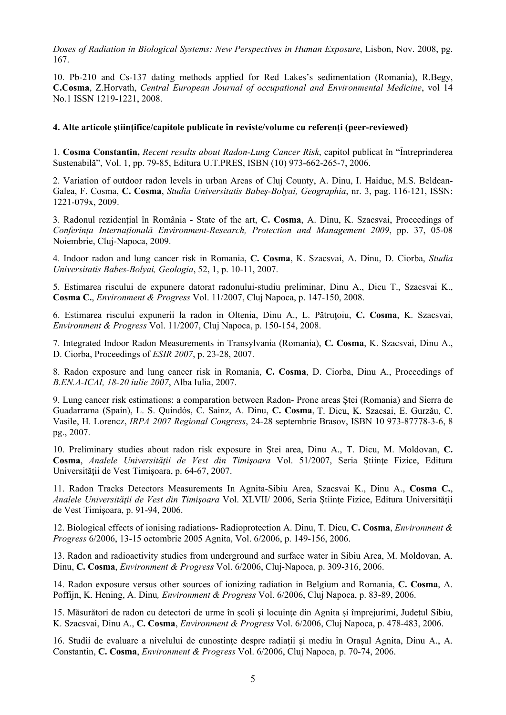*Doses of Radiation in Biological Systems: New Perspectives in Human Exposure*, Lisbon, Nov. 2008, pg. 167.

10. Pb-210 and Cs-137 dating methods applied for Red Lakes's sedimentation (Romania), R.Begy, **C.Cosma**, Z.Horvath, *Central European Journal of occupational and Environmental Medicine*, vol 14 No.1 ISSN 1219-1221, 2008.

#### **4. Alte articole ştiinţifice/capitole publicate în reviste/volume cu referenţi (peer-reviewed)**

1. **Cosma Constantin,** *Recent results about Radon-Lung Cancer Risk*, capitol publicat în "Întreprinderea Sustenabilă", Vol. 1, pp. 79-85, Editura U.T.PRES, ISBN (10) 973-662-265-7, 2006.

2. Variation of outdoor radon levels in urban Areas of Cluj County, A. Dinu, I. Haiduc, M.S. Beldean-Galea, F. Cosma, **C. Cosma**, *Studia Universitatis Babeş-Bolyai, Geographia*, nr. 3, pag. 116-121, ISSN: 1221-079x, 2009.

3. Radonul rezidenţial în România - State of the art, **C. Cosma**, A. Dinu, K. Szacsvai, Proceedings of *Conferinţa Internaţionalǎ Environment-Research, Protection and Management 2009*, pp. 37, 05-08 Noiembrie, Cluj-Napoca, 2009.

4. Indoor radon and lung cancer risk in Romania, **C. Cosma**, K. Szacsvai, A. Dinu, D. Ciorba, *Studia Universitatis Babes-Bolyai, Geologia*, 52, 1, p. 10-11, 2007.

5. Estimarea riscului de expunere datorat radonului-studiu preliminar, Dinu A., Dicu T., Szacsvai K., **Cosma C.**, *Environment & Progress* Vol. 11/2007, Cluj Napoca, p. 147-150, 2008.

6. Estimarea riscului expunerii la radon in Oltenia, Dinu A., L. Pătruţoiu, **C. Cosma**, K. Szacsvai, *Environment & Progress* Vol. 11/2007, Cluj Napoca, p. 150-154, 2008.

7. Integrated Indoor Radon Measurements in Transylvania (Romania), **C. Cosma**, K. Szacsvai, Dinu A., D. Ciorba, Proceedings of *ESIR 2007*, p. 23-28, 2007.

8. Radon exposure and lung cancer risk in Romania, **C. Cosma**, D. Ciorba, Dinu A., Proceedings of *B.EN.A-ICAI, 18-20 iulie 2007*, Alba Iulia, 2007.

9. Lung cancer risk estimations: a comparation between Radon- Prone areas Ştei (Romania) and Sierra de Guadarrama (Spain), L. S. Quindós, C. Sainz, A. Dinu, **C. Cosma**, T. Dicu, K. Szacsai, E. Gurzǎu, C. Vasile, H. Lorencz, *IRPA 2007 Regional Congress*, 24-28 septembrie Brasov, ISBN 10 973-87778-3-6, 8 pg., 2007.

10. Preliminary studies about radon risk exposure in Ştei area, Dinu A., T. Dicu, M. Moldovan, **C. Cosma**, *Analele Universităţii de Vest din Timişoara* Vol. 51/2007, Seria Ştiinţe Fizice, Editura Universității de Vest Timișoara, p. 64-67, 2007.

11. Radon Tracks Detectors Measurements In Agnita-Sibiu Area, Szacsvai K., Dinu A., **Cosma C.**, *Analele Universităţii de Vest din Timişoara* Vol. XLVII/ 2006, Seria Ştiinţe Fizice, Editura Universităţii de Vest Timişoara, p. 91-94, 2006.

12. Biological effects of ionising radiations- Radioprotection A. Dinu, T. Dicu, **C. Cosma**, *Environment & Progress* 6/2006, 13-15 octombrie 2005 Agnita, Vol. 6/2006, p. 149-156, 2006.

13. Radon and radioactivity studies from underground and surface water in Sibiu Area, M. Moldovan, A. Dinu, **C. Cosma**, *Environment & Progress* Vol. 6/2006, Cluj-Napoca, p. 309-316, 2006.

14. Radon exposure versus other sources of ionizing radiation in Belgium and Romania, **C. Cosma**, A. Poffijn, K. Hening, A. Dinu*, Environment & Progress* Vol. 6/2006, Cluj Napoca, p. 83-89, 2006.

15. Măsurători de radon cu detectori de urme în şcoli şi locuinţe din Agnita şi împrejurimi, Judeţul Sibiu, K. Szacsvai, Dinu A., **C. Cosma**, *Environment & Progress* Vol. 6/2006, Cluj Napoca, p. 478-483, 2006.

16. Studii de evaluare a nivelului de cunostinte despre radiatii și mediu în Orașul Agnita, Dinu A., A. Constantin, **C. Cosma**, *Environment & Progress* Vol. 6/2006, Cluj Napoca, p. 70-74, 2006.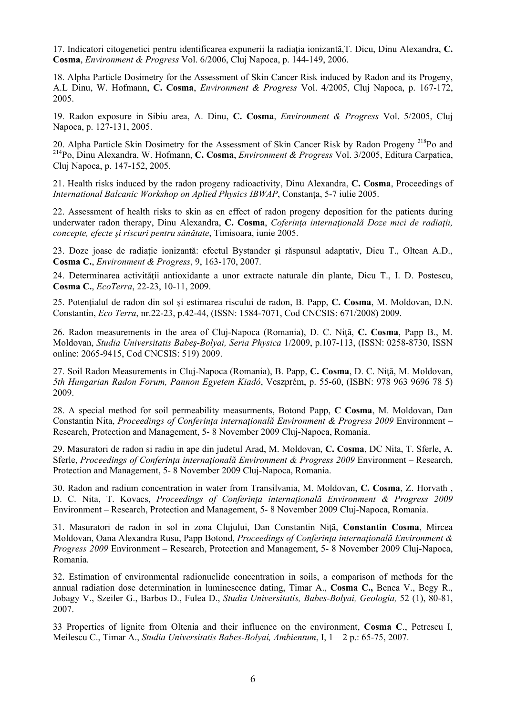17. Indicatori citogenetici pentru identificarea expunerii la radiaţia ionizantă,T. Dicu, Dinu Alexandra, **C. Cosma**, *Environment & Progress* Vol. 6/2006, Cluj Napoca, p. 144-149, 2006.

18. Alpha Particle Dosimetry for the Assessment of Skin Cancer Risk induced by Radon and its Progeny, A.L Dinu, W. Hofmann, **C. Cosma**, *Environment & Progress* Vol. 4/2005, Cluj Napoca, p. 167-172, 2005.

19. Radon exposure in Sibiu area, A. Dinu, **C. Cosma**, *Environment & Progress* Vol. 5/2005, Cluj Napoca, p. 127-131, 2005.

20. Alpha Particle Skin Dosimetry for the Assessment of Skin Cancer Risk by Radon Progeny<sup>218</sup>Po and 214Po, Dinu Alexandra, W. Hofmann, **C. Cosma**, *Environment & Progress* Vol. 3/2005, Editura Carpatica, Cluj Napoca, p. 147-152, 2005.

21. Health risks induced by the radon progeny radioactivity, Dinu Alexandra, **C. Cosma**, Proceedings of *International Balcanic Workshop on Aplied Physics IBWAP*, Constanta, 5-7 iulie 2005.

22. Assessment of health risks to skin as en effect of radon progeny deposition for the patients during underwater radon therapy, Dinu Alexandra, **C. Cosma**, *Coferinţa internaţionalǎ Doze mici de radiaţii, concepte, efecte şi riscuri pentru sǎnǎtate*, Timisoara, iunie 2005.

23. Doze joase de radiaţie ionizantă: efectul Bystander şi răspunsul adaptativ, Dicu T., Oltean A.D., **Cosma C.**, *Environment & Progress*, 9, 163-170, 2007.

24. Determinarea activităţii antioxidante a unor extracte naturale din plante, Dicu T., I. D. Postescu, **Cosma C.**, *EcoTerra*, 22-23, 10-11, 2009.

25. Potenţialul de radon din sol şi estimarea riscului de radon, B. Papp, **C. Cosma**, M. Moldovan, D.N. Constantin, *Eco Terra*, nr.22-23, p.42-44, (ISSN: 1584-7071, Cod CNCSIS: 671/2008) 2009.

26. Radon measurements in the area of Cluj-Napoca (Romania), D. C. Niţă, **C. Cosma**, Papp B., M. Moldovan, *Studia Universitatis Babeş-Bolyai, Seria Physica* 1/2009, p.107-113, (ISSN: 0258-8730, ISSN online: 2065-9415, Cod CNCSIS: 519) 2009.

27. Soil Radon Measurements in Cluj-Napoca (Romania), B. Papp, **C. Cosma**, D. C. Niţă, M. Moldovan, *5th Hungarian Radon Forum, Pannon Egyetem Kiadó*, Veszprém, p. 55-60, (ISBN: 978 963 9696 78 5) 2009.

28. A special method for soil permeability measurments, Botond Papp, **C Cosma**, M. Moldovan, Dan Constantin Nita, *Proceedings of Conferinţa internaţională Environment & Progress 2009* Environment – Research, Protection and Management, 5- 8 November 2009 Cluj-Napoca, Romania.

29. Masuratori de radon si radiu in ape din judetul Arad, M. Moldovan, **C. Cosma**, DC Nita, T. Sferle, A. Sferle, *Proceedings of Conferinţa internaţională Environment & Progress 2009* Environment – Research, Protection and Management, 5- 8 November 2009 Cluj-Napoca, Romania.

30. Radon and radium concentration in water from Transilvania, M. Moldovan, **C. Cosma**, Z. Horvath , D. C. Nita, T. Kovacs, *Proceedings of Conferinţa internaţională Environment & Progress 2009* Environment – Research, Protection and Management, 5- 8 November 2009 Cluj-Napoca, Romania.

31. Masuratori de radon in sol in zona Clujului, Dan Constantin Niţă, **Constantin Cosma**, Mircea Moldovan, Oana Alexandra Rusu, Papp Botond, *Proceedings of Conferinţa internaţională Environment & Progress 2009* Environment – Research, Protection and Management, 5- 8 November 2009 Cluj-Napoca, Romania.

32. Estimation of environmental radionuclide concentration in soils, a comparison of methods for the annual radiation dose determination in luminescence dating, Timar A., **Cosma C.,** Benea V., Begy R., Jobagy V., Szeiler G., Barbos D., Fulea D., *Studia Universitatis, Babes-Bolyai, Geologia,* 52 (1), 80-81, 2007.

33 Properties of lignite from Oltenia and their influence on the environment, **Cosma C**., Petrescu I, Meilescu C., Timar A., *Studia Universitatis Babes-Bolyai, Ambientum*, I, 1—2 p.: 65-75, 2007.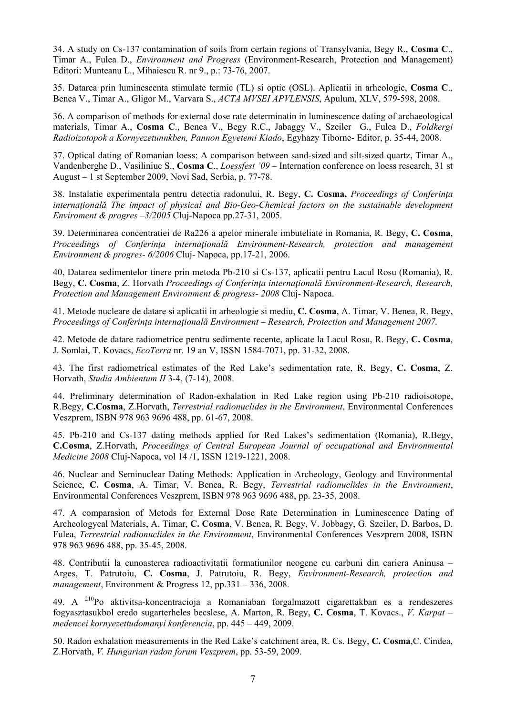34. A study on Cs-137 contamination of soils from certain regions of Transylvania, Begy R., **Cosma C**., Timar A., Fulea D., *Environment and Progress* (Environment-Research, Protection and Management) Editori: Munteanu L., Mihaiescu R. nr 9., p.: 73-76, 2007.

35. Datarea prin luminescenta stimulate termic (TL) si optic (OSL). Aplicatii in arheologie, **Cosma C**., Benea V., Timar A., Gligor M., Varvara S., *ACTA MVSEI APVLENSIS*, Apulum, XLV, 579-598, 2008.

36. A comparison of methods for external dose rate determinatin in luminescence dating of archaeological materials, Timar A., **Cosma C**., Benea V., Begy R.C., Jabaggy V., Szeiler G., Fulea D., *Foldkergi Radioizotopok a Kornyezetunnkben, Pannon Egyetemi Kiado*, Egyhazy Tiborne- Editor, p. 35-44, 2008.

37. Optical dating of Romanian loess: A comparison between sand-sized and silt-sized quartz, Timar A., Vandenberghe D., Vasiliniuc S., **Cosma C**., *Loessfest '09* – Internation conference on loess research, 31 st August – 1 st September 2009, Novi Sad, Serbia, p. 77-78.

38. Instalatie experimentala pentru detectia radonului, R. Begy, **C. Cosma,** *Proceedings of Conferinţa internaţională The impact of physical and Bio-Geo-Chemical factors on the sustainable development Enviroment & progres –3/2005* Cluj-Napoca pp.27-31, 2005.

39. Determinarea concentratiei de Ra226 a apelor minerale imbuteliate in Romania, R. Begy, **C. Cosma**, *Proceedings of Conferinţa internaţională Environment-Research, protection and management Environment & progres- 6/2006* Cluj- Napoca, pp.17-21, 2006.

40, Datarea sedimentelor tinere prin metoda Pb-210 si Cs-137, aplicatii pentru Lacul Rosu (Romania), R. Begy, **C. Cosma**, Z. Horvath *Proceedings of Conferinţa internaţională Environment-Research, Research, Protection and Management Environment & progress- 2008* Cluj- Napoca.

41. Metode nucleare de datare si aplicatii in arheologie si mediu, **C. Cosma**, A. Timar, V. Benea, R. Begy, *Proceedings of Conferinţa internaţională Environment – Research, Protection and Management 2007.* 

42. Metode de datare radiometrice pentru sedimente recente, aplicate la Lacul Rosu, R. Begy, **C. Cosma**, J. Somlai, T. Kovacs, *EcoTerra* nr. 19 an V, ISSN 1584-7071, pp. 31-32, 2008.

43. The first radiometrical estimates of the Red Lake's sedimentation rate, R. Begy, **C. Cosma**, Z. Horvath, *Studia Ambientum II* 3-4, (7-14), 2008.

44. Preliminary determination of Radon-exhalation in Red Lake region using Pb-210 radioisotope, R.Begy, **C.Cosma**, Z.Horvath, *Terrestrial radionuclides in the Environment*, Environmental Conferences Veszprem, ISBN 978 963 9696 488, pp. 61-67, 2008.

45. Pb-210 and Cs-137 dating methods applied for Red Lakes's sedimentation (Romania), R.Begy, **C.Cosma**, Z.Horvath, *Proceedings of Central European Journal of occupational and Environmental Medicine 2008* Cluj-Napoca, vol 14 /1, ISSN 1219-1221, 2008.

46. Nuclear and Seminuclear Dating Methods: Application in Archeology, Geology and Environmental Science, **C. Cosma**, A. Timar, V. Benea, R. Begy, *Terrestrial radionuclides in the Environment*, Environmental Conferences Veszprem, ISBN 978 963 9696 488, pp. 23-35, 2008.

47. A comparasion of Metods for External Dose Rate Determination in Luminescence Dating of Archeologycal Materials, A. Timar, **C. Cosma**, V. Benea, R. Begy, V. Jobbagy, G. Szeiler, D. Barbos, D. Fulea, *Terrestrial radionuclides in the Environment*, Environmental Conferences Veszprem 2008, ISBN 978 963 9696 488, pp. 35-45, 2008.

48. Contributii la cunoasterea radioactivitatii formatiunilor neogene cu carbuni din cariera Aninusa – Arges, T. Patrutoiu, **C. Cosma**, J. Patrutoiu, R. Begy, *Environment-Research, protection and management*, Environment & Progress 12, pp.331 – 336, 2008.

49. A 210Po aktivitsa-koncentracioja a Romaniaban forgalmazott cigarettakban es a rendeszeres fogyasztasukbol eredo sugarterheles becslese, A. Marton, R. Begy, **C. Cosma**, T. Kovacs., *V. Karpat – medencei kornyezettudomanyi konferencia*, pp. 445 – 449, 2009.

50. Radon exhalation measurements in the Red Lake's catchment area, R. Cs. Begy, **C. Cosma**,C. Cindea, Z.Horvath, *V. Hungarian radon forum Veszprem*, pp. 53-59, 2009.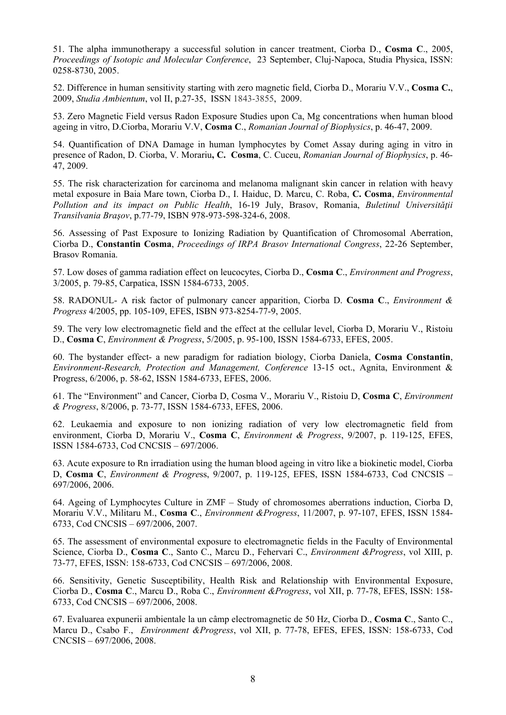51. The alpha immunotherapy a successful solution in cancer treatment, Ciorba D., **Cosma C**., 2005, *Proceedings of Isotopic and Molecular Conference*, 23 September, Cluj-Napoca, Studia Physica, ISSN: 0258-8730, 2005.

52. Difference in human sensitivity starting with zero magnetic field, Ciorba D., Morariu V.V., **Cosma C.**, 2009, *Studia Ambientum*, vol II, p.27-35, ISSN 1843-3855, 2009.

53. Zero Magnetic Field versus Radon Exposure Studies upon Ca, Mg concentrations when human blood ageing in vitro, D.Ciorba, Morariu V.V, **Cosma C**., *Romanian Journal of Biophysics*, p. 46-47, 2009.

54. Quantification of DNA Damage in human lymphocytes by Comet Assay during aging in vitro in presence of Radon, D. Ciorba, V. Morariu**, C. Cosma**, C. Cuceu, *Romanian Journal of Biophysics*, p. 46- 47, 2009.

55. The risk characterization for carcinoma and melanoma malignant skin cancer in relation with heavy metal exposure in Baia Mare town, Ciorba D., I. Haiduc, D. Marcu, C. Roba, **C. Cosma**, *Environmental Pollution and its impact on Public Health*, 16-19 July, Brasov, Romania, *Buletinul Universităţii Transilvania Braşov*, p.77-79, ISBN 978-973-598-324-6, 2008.

56. Assessing of Past Exposure to Ionizing Radiation by Quantification of Chromosomal Aberration, Ciorba D., **Constantin Cosma**, *Proceedings of IRPA Brasov International Congress*, 22-26 September, Brasov Romania.

57. Low doses of gamma radiation effect on leucocytes, Ciorba D., **Cosma C**., *Environment and Progress*, 3/2005, p. 79-85, Carpatica, ISSN 1584-6733, 2005.

58. RADONUL- A risk factor of pulmonary cancer apparition, Ciorba D. **Cosma C**., *Environment & Progress* 4/2005, pp. 105-109, EFES, ISBN 973-8254-77-9, 2005.

59. The very low electromagnetic field and the effect at the cellular level, Ciorba D, Morariu V., Ristoiu D., **Cosma C**, *Environment & Progress*, 5/2005, p. 95-100, ISSN 1584-6733, EFES, 2005.

60. The bystander effect- a new paradigm for radiation biology, Ciorba Daniela, **Cosma Constantin**, *Environment-Research, Protection and Management, Conference* 13-15 oct., Agnita, Environment & Progress, 6/2006, p. 58-62, ISSN 1584-6733, EFES, 2006.

61. The "Environment" and Cancer, Ciorba D, Cosma V., Morariu V., Ristoiu D, **Cosma C**, *Environment & Progress*, 8/2006, p. 73-77, ISSN 1584-6733, EFES, 2006.

62. Leukaemia and exposure to non ionizing radiation of very low electromagnetic field from environment, Ciorba D, Morariu V., **Cosma C**, *Environment & Progress*, 9/2007, p. 119-125, EFES, ISSN 1584-6733, Cod CNCSIS – 697/2006.

63. Acute exposure to Rn irradiation using the human blood ageing in vitro like a biokinetic model, Ciorba D, **Cosma C**, *Environment & Progre*ss, 9/2007, p. 119-125, EFES, ISSN 1584-6733, Cod CNCSIS – 697/2006, 2006.

64. Ageing of Lymphocytes Culture in ZMF – Study of chromosomes aberrations induction, Ciorba D, Morariu V.V., Militaru M., **Cosma C**., *Environment &Progress*, 11/2007, p. 97-107, EFES, ISSN 1584- 6733, Cod CNCSIS – 697/2006, 2007.

65. The assessment of environmental exposure to electromagnetic fields in the Faculty of Environmental Science, Ciorba D., **Cosma C**., Santo C., Marcu D., Fehervari C., *Environment &Progress*, vol XIII, p. 73-77, EFES, ISSN: 158-6733, Cod CNCSIS – 697/2006, 2008.

66. Sensitivity, Genetic Susceptibility, Health Risk and Relationship with Environmental Exposure, Ciorba D., **Cosma C**., Marcu D., Roba C., *Environment &Progress*, vol XII, p. 77-78, EFES, ISSN: 158- 6733, Cod CNCSIS – 697/2006, 2008.

67. Evaluarea expunerii ambientale la un câmp electromagnetic de 50 Hz, Ciorba D., **Cosma C**., Santo C., Marcu D., Csabo F., *Environment &Progress*, vol XII, p. 77-78, EFES, EFES, ISSN: 158-6733, Cod CNCSIS – 697/2006, 2008.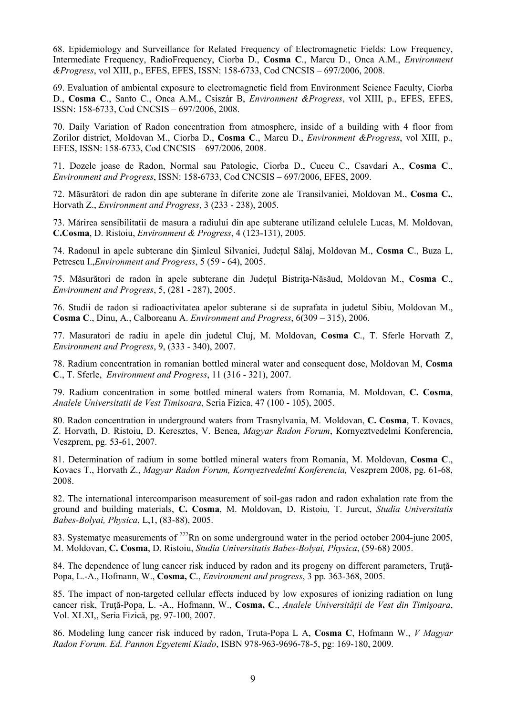68. Epidemiology and Surveillance for Related Frequency of Electromagnetic Fields: Low Frequency, Intermediate Frequency, RadioFrequency, Ciorba D., **Cosma C**., Marcu D., Onca A.M., *Environment &Progress*, vol XIII, p., EFES, EFES, ISSN: 158-6733, Cod CNCSIS – 697/2006, 2008.

69. Evaluation of ambiental exposure to electromagnetic field from Environment Science Faculty, Ciorba D., **Cosma C**., Santo C., Onca A.M., Csiszár B, *Environment &Progress*, vol XIII, p., EFES, EFES, ISSN: 158-6733, Cod CNCSIS – 697/2006, 2008.

70. Daily Variation of Radon concentration from atmosphere, inside of a building with 4 floor from Zorilor district, Moldovan M., Ciorba D., **Cosma C**., Marcu D., *Environment &Progress*, vol XIII, p., EFES, ISSN: 158-6733, Cod CNCSIS – 697/2006, 2008.

71. Dozele joase de Radon, Normal sau Patologic, Ciorba D., Cuceu C., Csavdari A., **Cosma C**., *Environment and Progress*, ISSN: 158-6733, Cod CNCSIS – 697/2006, EFES, 2009.

72. Măsurători de radon din ape subterane în diferite zone ale Transilvaniei, Moldovan M., **Cosma C.**, Horvath Z., *Environment and Progress*, 3 (233 - 238), 2005.

73. Mărirea sensibilitatii de masura a radiului din ape subterane utilizand celulele Lucas, M. Moldovan, **C.Cosma**, D. Ristoiu, *Environment & Progress*, 4 (123-131), 2005.

74. Radonul in apele subterane din Şimleul Silvaniei, Judeţul Sălaj, Moldovan M., **Cosma C**., Buza L, Petrescu I.,*Environment and Progress*, 5 (59 - 64), 2005.

75. Măsurători de radon în apele subterane din Judeţul Bistriţa-Năsăud, Moldovan M., **Cosma C**., *Environment and Progress*, 5, (281 - 287), 2005.

76. Studii de radon si radioactivitatea apelor subterane si de suprafata in judetul Sibiu, Moldovan M., **Cosma C**., Dinu, A., Calboreanu A. *Environment and Progress*, 6(309 – 315), 2006.

77. Masuratori de radiu in apele din judetul Cluj, M. Moldovan, **Cosma C**., T. Sferle Horvath Z, *Environment and Progress*, 9, (333 - 340), 2007.

78. Radium concentration in romanian bottled mineral water and consequent dose, Moldovan M, **Cosma C**., T. Sferle, *Environment and Progress*, 11 (316 - 321), 2007.

79. Radium concentration in some bottled mineral waters from Romania, M. Moldovan, **C. Cosma**, *Analele Universitatii de Vest Timisoara*, Seria Fizica, 47 (100 - 105), 2005.

80. Radon concentration in underground waters from Trasnylvania, M. Moldovan, **C. Cosma**, T. Kovacs, Z. Horvath, D. Ristoiu, D. Keresztes, V. Benea, *Magyar Radon Forum*, Kornyeztvedelmi Konferencia, Veszprem, pg. 53-61, 2007.

81. Determination of radium in some bottled mineral waters from Romania, M. Moldovan, **Cosma C**., Kovacs T., Horvath Z., *Magyar Radon Forum, Kornyeztvedelmi Konferencia,* Veszprem 2008, pg. 61-68, 2008.

82. The international intercomparison measurement of soil-gas radon and radon exhalation rate from the ground and building materials, **C. Cosma**, M. Moldovan, D. Ristoiu, T. Jurcut, *Studia Universitatis Babes-Bolyai, Physica*, L,1, (83-88), 2005.

83. Systematyc measurements of <sup>222</sup>Rn on some underground water in the period october 2004-june 2005, M. Moldovan, **C. Cosma**, D. Ristoiu, *Studia Universitatis Babes-Bolyai, Physica*, (59-68) 2005.

84. The dependence of lung cancer risk induced by radon and its progeny on different parameters, Trută-Popa, L.-A., Hofmann, W., **Cosma, C**., *Environment and progress*, 3 pp. 363-368, 2005.

85. The impact of non-targeted cellular effects induced by low exposures of ionizing radiation on lung cancer risk, Truţă-Popa, L. -A., Hofmann, W., **Cosma, C**., *Analele Universităţii de Vest din Timişoara*, Vol. XLXI,, Seria Fizică, pg. 97-100, 2007.

86. Modeling lung cancer risk induced by radon, Truta-Popa L A, **Cosma C**, Hofmann W., *V Magyar Radon Forum. Ed. Pannon Egyetemi Kiado*, ISBN 978-963-9696-78-5, pg: 169-180, 2009.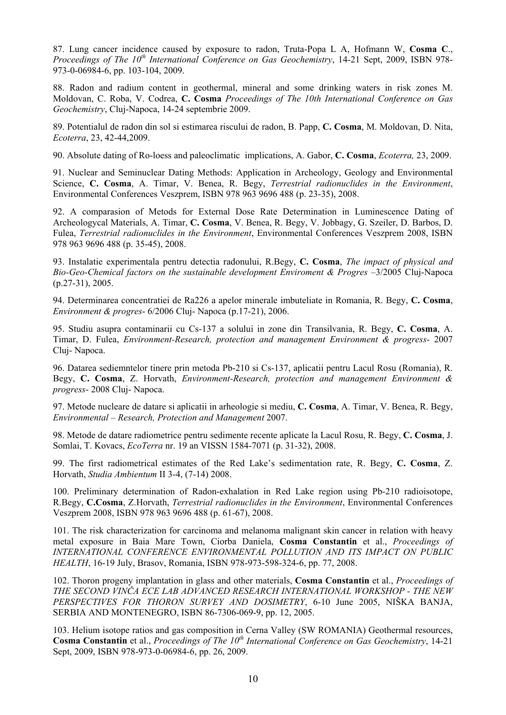87. Lung cancer incidence caused by exposure to radon, Truta-Popa L A, Hofmann W, **Cosma C**., *Proceedings of The 10th International Conference on Gas Geochemistry*, 14-21 Sept, 2009, ISBN 978- 973-0-06984-6, pp. 103-104, 2009.

88. Radon and radium content in geothermal, mineral and some drinking waters in risk zones M. Moldovan, C. Roba, V. Codrea, **C. Cosma** *Proceedings of The 10th International Conference on Gas Geochemistry*, Cluj-Napoca, 14-24 septembrie 2009.

89. Potentialul de radon din sol si estimarea riscului de radon, B. Papp, **C. Cosma**, M. Moldovan, D. Nita, *Ecoterra*, 23, 42-44,2009.

90. Absolute dating of Ro-loess and paleoclimatic implications, A. Gabor, **C. Cosma**, *Ecoterra,* 23, 2009.

91. Nuclear and Seminuclear Dating Methods: Application in Archeology, Geology and Environmental Science, **C. Cosma**, A. Timar, V. Benea, R. Begy, *Terrestrial radionuclides in the Environment*, Environmental Conferences Veszprem, ISBN 978 963 9696 488 (p. 23-35), 2008.

92. A comparasion of Metods for External Dose Rate Determination in Luminescence Dating of Archeologycal Materials, A. Timar, **C. Cosma**, V. Benea, R. Begy, V. Jobbagy, G. Szeiler, D. Barbos, D. Fulea, *Terrestrial radionuclides in the Environment*, Environmental Conferences Veszprem 2008, ISBN 978 963 9696 488 (p. 35-45), 2008.

93. Instalatie experimentala pentru detectia radonului, R.Begy, **C. Cosma**, *The impact of physical and Bio-Geo-Chemical factors on the sustainable development Enviroment & Progres* –3/2005 Cluj-Napoca (p.27-31), 2005.

94. Determinarea concentratiei de Ra226 a apelor minerale imbuteliate in Romania, R. Begy, **C. Cosma**, *Environment & progres*- 6/2006 Cluj- Napoca (p.17-21), 2006.

95. Studiu asupra contaminarii cu Cs-137 a solului in zone din Transilvania, R. Begy, **C. Cosma**, A. Timar, D. Fulea, *Environment-Research, protection and management Environment & progress*- 2007 Cluj- Napoca.

96. Datarea sediemntelor tinere prin metoda Pb-210 si Cs-137, aplicatii pentru Lacul Rosu (Romania), R. Begy, **C. Cosma**, Z. Horvath, *Environment-Research, protection and management Environment & progress*- 2008 Cluj- Napoca.

97. Metode nucleare de datare si aplicatii in arheologie si mediu, **C. Cosma**, A. Timar, V. Benea, R. Begy, *Environmental – Research, Protection and Management* 2007.

98. Metode de datare radiometrice pentru sedimente recente aplicate la Lacul Rosu, R. Begy, **C. Cosma**, J. Somlai, T. Kovacs, *EcoTerra* nr. 19 an VISSN 1584-7071 (p. 31-32), 2008.

99. The first radiometrical estimates of the Red Lake's sedimentation rate, R. Begy, **C. Cosma**, Z. Horvath, *Studia Ambientum* II 3-4, (7-14) 2008.

100. Preliminary determination of Radon-exhalation in Red Lake region using Pb-210 radioisotope, R.Begy, **C.Cosma**, Z.Horvath, *Terrestrial radionuclides in the Environment*, Environmental Conferences Veszprem 2008, ISBN 978 963 9696 488 (p. 61-67), 2008.

101. The risk characterization for carcinoma and melanoma malignant skin cancer in relation with heavy metal exposure in Baia Mare Town, Ciorba Daniela, **Cosma Constantin** et al., *Proceedings of INTERNATIONAL CONFERENCE ENVIRONMENTAL POLLUTION AND ITS IMPACT ON PUBLIC HEALTH*, 16-19 July, Brasov, Romania, ISBN 978-973-598-324-6, pp. 77, 2008.

102. Thoron progeny implantation in glass and other materials, **Cosma Constantin** et al., *Proceedings of THE SECOND VINČA ECE LAB ADVANCED RESEARCH INTERNATIONAL WORKSHOP - THE NEW PERSPECTIVES FOR THORON SURVEY AND DOSIMETRY*, 6-10 June 2005, NIŠKA BANJA, SERBIA AND MONTENEGRO, ISBN 86-7306-069-9, pp. 12, 2005.

103. Helium isotope ratios and gas composition in Cerna Valley (SW ROMANIA) Geothermal resources, **Cosma Constantin** et al., *Proceedings of The 10th International Conference on Gas Geochemistry*, 14-21 Sept, 2009, ISBN 978-973-0-06984-6, pp. 26, 2009.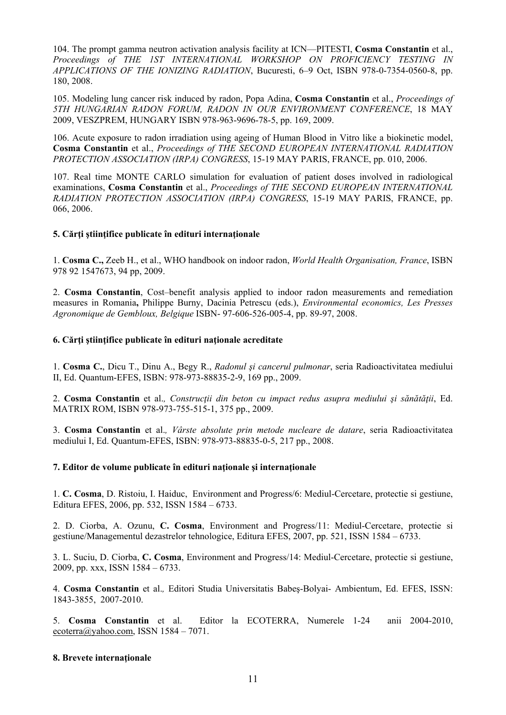104. The prompt gamma neutron activation analysis facility at ICN—PITESTI, **Cosma Constantin** et al., *Proceedings of THE 1ST INTERNATIONAL WORKSHOP ON PROFICIENCY TESTING IN APPLICATIONS OF THE IONIZING RADIATION*, Bucuresti, 6–9 Oct, ISBN 978-0-7354-0560-8, pp. 180, 2008.

105. Modeling lung cancer risk induced by radon, Popa Adina, **Cosma Constantin** et al., *Proceedings of 5TH HUNGARIAN RADON FORUM, RADON IN OUR ENVIRONMENT CONFERENCE*, 18 MAY 2009, VESZPREM, HUNGARY ISBN 978-963-9696-78-5, pp. 169, 2009.

106. Acute exposure to radon irradiation using ageing of Human Blood in Vitro like a biokinetic model, **Cosma Constantin** et al., *Proceedings of THE SECOND EUROPEAN INTERNATIONAL RADIATION PROTECTION ASSOCIATION (IRPA) CONGRESS*, 15-19 MAY PARIS, FRANCE, pp. 010, 2006.

107. Real time MONTE CARLO simulation for evaluation of patient doses involved in radiological examinations, **Cosma Constantin** et al., *Proceedings of THE SECOND EUROPEAN INTERNATIONAL RADIATION PROTECTION ASSOCIATION (IRPA) CONGRESS*, 15-19 MAY PARIS, FRANCE, pp. 066, 2006.

#### **5. Cărţi ştiinţifice publicate în edituri internaţionale**

1. **Cosma C.,** Zeeb H., et al., WHO handbook on indoor radon, *World Health Organisation, France*, ISBN 978 92 1547673, 94 pp, 2009.

2. **Cosma Constantin**, Cost–benefit analysis applied to indoor radon measurements and remediation measures in Romania**,** Philippe Burny, Dacinia Petrescu (eds.), *Environmental economics, Les Presses Agronomique de Gembloux, Belgique* ISBN- 97-606-526-005-4, pp. 89-97, 2008.

#### **6. Cărţi ştiinţifice publicate în edituri naţionale acreditate**

1. **Cosma C.**, Dicu T., Dinu A., Begy R., *Radonul şi cancerul pulmonar*, seria Radioactivitatea mediului II, Ed. Quantum-EFES, ISBN: 978-973-88835-2-9, 169 pp., 2009.

2. **Cosma Constantin** et al.*, Construcţii din beton cu impact redus asupra mediului şi sănătăţii*, Ed. MATRIX ROM, ISBN 978-973-755-515-1, 375 pp., 2009.

3. **Cosma Constantin** et al.*, Vârste absolute prin metode nucleare de datare*, seria Radioactivitatea mediului I, Ed. Quantum-EFES, ISBN: 978-973-88835-0-5, 217 pp., 2008.

#### **7. Editor de volume publicate în edituri naţionale şi internaţionale**

1. **C. Cosma**, D. Ristoiu, I. Haiduc, Environment and Progress/6: Mediul-Cercetare, protectie si gestiune, Editura EFES, 2006, pp. 532, ISSN 1584 – 6733.

2. D. Ciorba, A. Ozunu, **C. Cosma**, Environment and Progress/11: Mediul-Cercetare, protectie si gestiune/Managementul dezastrelor tehnologice, Editura EFES, 2007, pp. 521, ISSN 1584 – 6733.

3. L. Suciu, D. Ciorba, **C. Cosma**, Environment and Progress/14: Mediul-Cercetare, protectie si gestiune, 2009, pp. xxx, ISSN 1584 – 6733.

4. **Cosma Constantin** et al.*,* Editori Studia Universitatis Babeş-Bolyai- Ambientum, Ed. EFES, ISSN: 1843-3855, 2007-2010.

5. **Cosma Constantin** et al. Editor la ECOTERRA, Numerele 1-24 anii 2004-2010, ecoterra@yahoo.com, ISSN 1584 – 7071.

#### **8. Brevete internaţionale**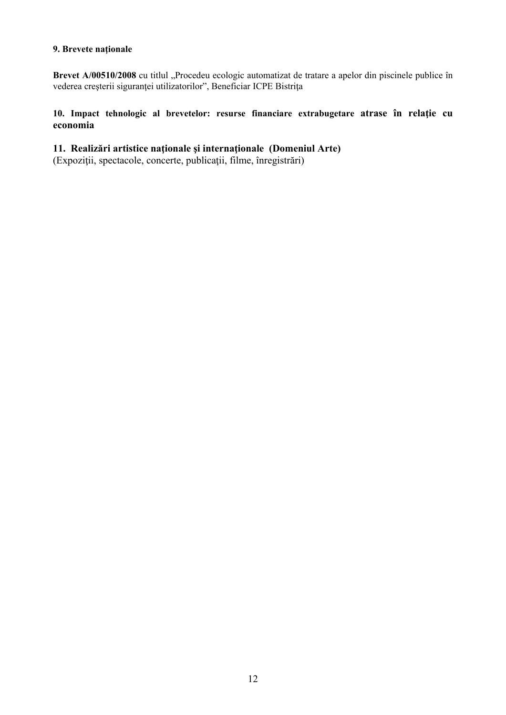#### **9. Brevete naţionale**

Brevet A/00510/2008 cu titlul "Procedeu ecologic automatizat de tratare a apelor din piscinele publice în vederea creşterii siguranţei utilizatorilor", Beneficiar ICPE Bistriţa

10. Impact tehnologic al brevetelor: resurse financiare extrabugetare atrase în relație cu **economia** 

**11. Realizări artistice naţionale şi internaţionale (Domeniul Arte)** 

(Expoziţii, spectacole, concerte, publicaţii, filme, înregistrări)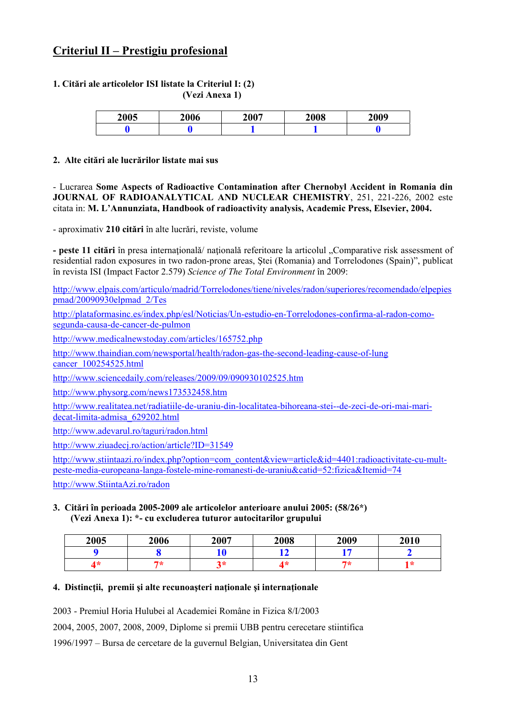# **Criteriul II – Prestigiu profesional**

#### **1. Citări ale articolelor ISI listate la Criteriul I: (2) (Vezi Anexa 1)**

| 2005 | 2006 | 2007 | 2008 | 2009 |
|------|------|------|------|------|
|      |      |      |      |      |

#### **2. Alte citări ale lucrărilor listate mai sus**

- Lucrarea **Some Aspects of Radioactive Contamination after Chernobyl Accident in Romania din JOURNAL OF RADIOANALYTICAL AND NUCLEAR CHEMISTRY**, 251, 221-226, 2002 este citata in: **M. L'Annunziata, Handbook of radioactivity analysis, Academic Press, Elsevier, 2004.**

- aproximativ **210 citări** în alte lucrǎri, reviste, volume

**- peste 11 citări** în presa internaţionalǎ/ naţionalǎ referitoare la articolul "Comparative risk assessment of residential radon exposures in two radon-prone areas, Ştei (Romania) and Torrelodones (Spain)", publicat în revista ISI (Impact Factor 2.579) *Science of The Total Environment* în 2009:

http://www.elpais.com/articulo/madrid/Torrelodones/tiene/niveles/radon/superiores/recomendado/elpepies pmad/20090930elpmad\_2/Tes

http://plataformasinc.es/index.php/esl/Noticias/Un-estudio-en-Torrelodones-confirma-al-radon-comosegunda-causa-de-cancer-de-pulmon

http://www.medicalnewstoday.com/articles/165752.php

http://www.thaindian.com/newsportal/health/radon-gas-the-second-leading-cause-of-lung cancer\_100254525.html

http://www.sciencedaily.com/releases/2009/09/090930102525.htm

http://www.physorg.com/news173532458.htm

http://www.realitatea.net/radiatiile-de-uraniu-din-localitatea-bihoreana-stei--de-zeci-de-ori-mai-maridecat-limita-admisa\_629202.html

http://www.adevarul.ro/taguri/radon.html

http://www.ziuadecj.ro/action/article?ID=31549

http://www.stiintaazi.ro/index.php?option=com\_content&view=article&id=4401:radioactivitate-cu-multpeste-media-europeana-langa-fostele-mine-romanesti-de-uraniu&catid=52:fizica&Itemid=74

http://www.StiintaAzi.ro/radon

#### **3. Citări în perioada 2005-2009 ale articolelor anterioare anului 2005: (58/26\*) (Vezi Anexa 1): \*- cu excluderea tuturor autocitarilor grupului**

| 2005 | 2006 | 2007    | 2008 | 2009 | 2010 |
|------|------|---------|------|------|------|
|      |      |         |      |      |      |
| 4*   | ワォ   | 2*<br>ັ | 1*   | ワネ   |      |

# **4. Distincţii, premii şi alte recunoaşteri naţionale şi internaţionale**

2003 - Premiul Horia Hulubei al Academiei Române in Fizica 8/I/2003

2004, 2005, 2007, 2008, 2009, Diplome si premii UBB pentru cerecetare stiintifica

1996/1997 – Bursa de cercetare de la guvernul Belgian, Universitatea din Gent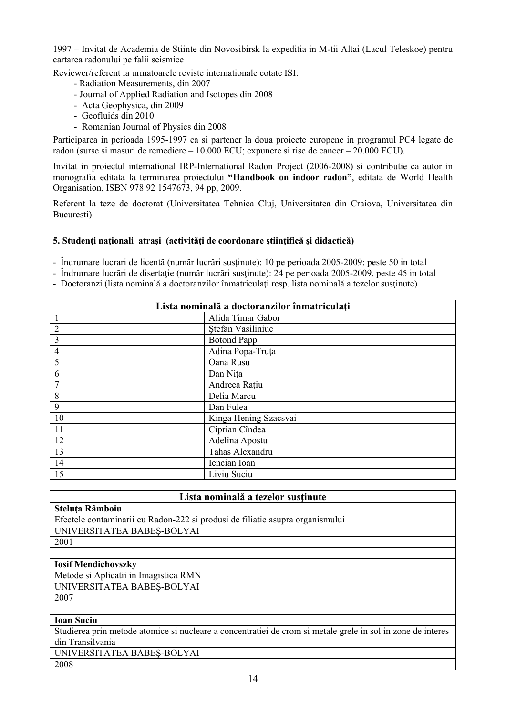1997 – Invitat de Academia de Stiinte din Novosibirsk la expeditia in M-tii Altai (Lacul Teleskoe) pentru cartarea radonului pe falii seismice

Reviewer/referent la urmatoarele reviste internationale cotate ISI:

- Radiation Measurements, din 2007
- Journal of Applied Radiation and Isotopes din 2008
- Acta Geophysica, din 2009
- Geofluids din 2010
- Romanian Journal of Physics din 2008

Participarea in perioada 1995-1997 ca si partener la doua proiecte europene in programul PC4 legate de radon (surse si masuri de remediere – 10.000 ECU; expunere si risc de cancer – 20.000 ECU).

Invitat in proiectul international IRP-International Radon Project (2006-2008) si contributie ca autor in monografia editata la terminarea proiectului **"Handbook on indoor radon"**, editata de World Health Organisation, ISBN 978 92 1547673, 94 pp, 2009.

Referent la teze de doctorat (Universitatea Tehnica Cluj, Universitatea din Craiova, Universitatea din Bucuresti).

#### **5. Studenţi naţionali atraşi (activităţi de coordonare ştiinţifică şi didactică)**

- Îndrumare lucrari de licentă (număr lucrări susţinute): 10 pe perioada 2005-2009; peste 50 in total

- Îndrumare lucrări de disertaţie (număr lucrări susţinute): 24 pe perioada 2005-2009, peste 45 in total
- Doctoranzi (lista nominală a doctoranzilor înmatriculați resp. lista nominală a tezelor susținute)

| Lista nominală a doctoranzilor înmatriculați |                       |  |
|----------------------------------------------|-----------------------|--|
|                                              | Alida Timar Gabor     |  |
| $\overline{2}$                               | Stefan Vasiliniuc     |  |
| 3                                            | <b>Botond Papp</b>    |  |
| 4                                            | Adina Popa-Truța      |  |
| 5                                            | Oana Rusu             |  |
| 6                                            | Dan Nita              |  |
|                                              | Andreea Rațiu         |  |
| 8                                            | Delia Marcu           |  |
| 9                                            | Dan Fulea             |  |
| 10                                           | Kinga Hening Szacsvai |  |
| 11                                           | Ciprian Cîndea        |  |
| 12                                           | Adelina Apostu        |  |
| 13                                           | Tahas Alexandru       |  |
| 14                                           | Iencian Ioan          |  |
| 15                                           | Liviu Suciu           |  |

| Lista nominală a tezelor susținute |  |
|------------------------------------|--|
|------------------------------------|--|

| Steluța Râmboiu                                                               |
|-------------------------------------------------------------------------------|
| Efectele contaminarii cu Radon-222 si produsi de filiatie asupra organismului |
| UNIVERSITATEA BABEȘ-BOLYAI                                                    |
| 2001                                                                          |

# 2001

# **Iosif Mendichovszky**

Metode si Aplicatii in Imagistica RMN UNIVERSITATEA BABEŞ-BOLYAI 2007

# **Ioan Suciu**

Studierea prin metode atomice si nucleare a concentratiei de crom si metale grele in sol in zone de interes din Transilvania

UNIVERSITATEA BABEŞ-BOLYAI

2008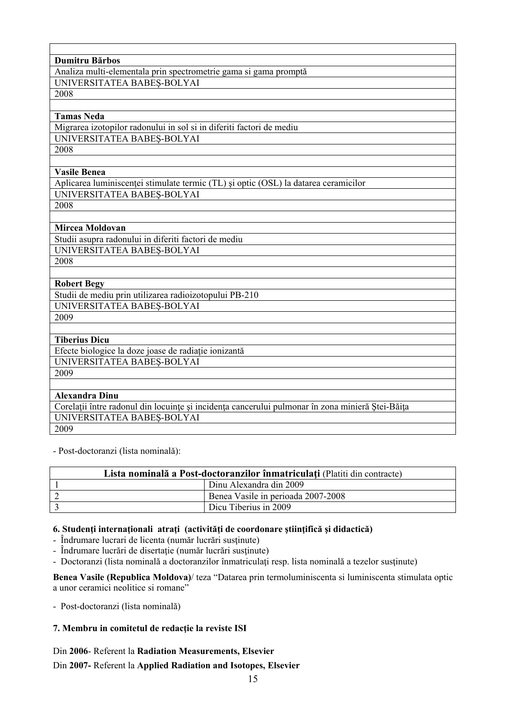| Dumitru Bărbos                                                                                   |
|--------------------------------------------------------------------------------------------------|
| Analiza multi-elementala prin spectrometrie gama si gama promptă                                 |
| UNIVERSITATEA BABES-BOLYAI                                                                       |
| 2008                                                                                             |
|                                                                                                  |
| <b>Tamas Neda</b>                                                                                |
| Migrarea izotopilor radonului in sol si in diferiti factori de mediu                             |
| UNIVERSITATEA BABES-BOLYAI                                                                       |
| 2008                                                                                             |
|                                                                                                  |
| <b>Vasile Benea</b>                                                                              |
| Aplicarea luminiscenței stimulate termic (TL) și optic (OSL) la datarea ceramicilor              |
| UNIVERSITATEA BABEȘ-BOLYAI                                                                       |
| 2008                                                                                             |
|                                                                                                  |
| Mircea Moldovan                                                                                  |
| Studii asupra radonului in diferiti factori de mediu                                             |
| UNIVERSITATEA BABES-BOLYAI                                                                       |
| 2008                                                                                             |
|                                                                                                  |
| <b>Robert Begy</b>                                                                               |
| Studii de mediu prin utilizarea radioizotopului PB-210                                           |
| UNIVERSITATEA BABEȘ-BOLYAI                                                                       |
| 2009                                                                                             |
|                                                                                                  |
| <b>Tiberius Dicu</b>                                                                             |
| Efecte biologice la doze joase de radiație ionizantă                                             |
| UNIVERSITATEA BABEȘ-BOLYAI                                                                       |
| 2009                                                                                             |
|                                                                                                  |
| <b>Alexandra Dinu</b>                                                                            |
| Corelații între radonul din locuințe și incidența cancerului pulmonar în zona minieră Ștei-Băița |
| UNIVERSITATEA BABES-BOLYAI                                                                       |
| 2009                                                                                             |

- Post-doctoranzi (lista nominală):

| Lista nominală a Post-doctoranzilor înmatriculați (Platiti din contracte) |                                    |  |
|---------------------------------------------------------------------------|------------------------------------|--|
| Dinu Alexandra din 2009                                                   |                                    |  |
|                                                                           | Benea Vasile in perioada 2007-2008 |  |
| Dicu Tiberius in 2009                                                     |                                    |  |

# **6. Studenţi internaţionali atraţi (activităţi de coordonare ştiinţifică şi didactică)**

- Îndrumare lucrari de licenta (număr lucrări susţinute)

- Îndrumare lucrări de disertaţie (număr lucrări susţinute)
- Doctoranzi (lista nominală a doctoranzilor înmatriculaţi resp. lista nominală a tezelor susţinute)

**Benea Vasile (Republica Moldova)**/ teza "Datarea prin termoluminiscenta si luminiscenta stimulata optic a unor ceramici neolitice si romane"

- Post-doctoranzi (lista nominală)

# **7. Membru in comitetul de redacţie la reviste ISI**

# Din **2006**- Referent la **Radiation Measurements, Elsevier**

# Din **2007-** Referent la **Applied Radiation and Isotopes, Elsevier**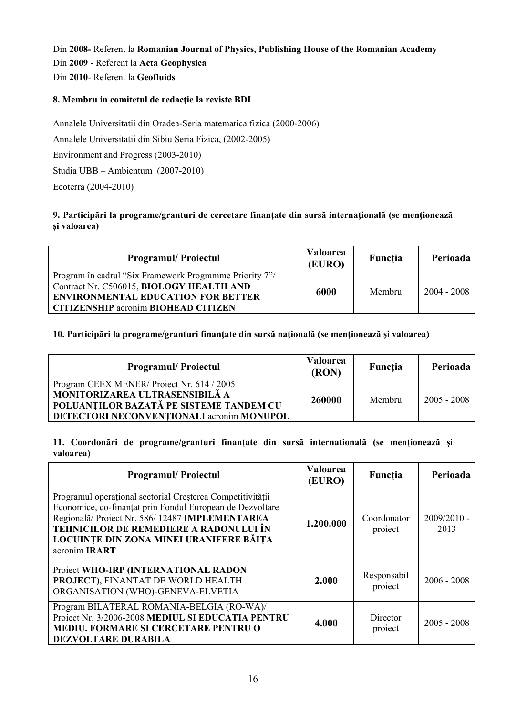Din **2008-** Referent la **Romanian Journal of Physics, Publishing House of the Romanian Academy** Din **2009** - Referent la **Acta Geophysica** Din **2010**- Referent la **Geofluids** 

# **8. Membru in comitetul de redacţie la reviste BDI**

Annalele Universitatii din Oradea-Seria matematica fizica (2000-2006)

Annalele Universitatii din Sibiu Seria Fizica, (2002-2005)

Environment and Progress (2003-2010)

Studia UBB – Ambientum (2007-2010)

Ecoterra (2004-2010)

# **9. Participări la programe/granturi de cercetare finanţate din sursă internaţională (se menţionează şi valoarea)**

| <b>Programul/Projectul</b>                                                                                                                                                                     | <b>Valoarea</b><br>(EURO) | Functia | Perioada      |
|------------------------------------------------------------------------------------------------------------------------------------------------------------------------------------------------|---------------------------|---------|---------------|
| Program în cadrul "Six Framework Programme Priority 7"/<br>Contract Nr. C506015, BIOLOGY HEALTH AND<br><b>ENVIRONMENTAL EDUCATION FOR BETTER</b><br><b>CITIZENSHIP acronim BIOHEAD CITIZEN</b> | 6000                      | Membru  | $2004 - 2008$ |

# **10. Participări la programe/granturi finanţate din sursă naţională (se menţionează şi valoarea)**

| <b>Programul/Projectul</b>                                                                                                                                          | <b>Valoarea</b><br>(RON) | Functia | Perioada      |
|---------------------------------------------------------------------------------------------------------------------------------------------------------------------|--------------------------|---------|---------------|
| Program CEEX MENER/Project Nr. 614 / 2005<br>MONITORIZAREA ULTRASENSIBILĂ A<br>POLUANȚILOR BAZATĂ PE SISTEME TANDEM CU<br>DETECTORI NECONVENTIONALI acronim MONUPOL | 260000                   | Membru  | $2005 - 2008$ |

# **11. Coordonări de programe/granturi finanţate din sursă internaţională (se menţionează şi valoarea)**

| <b>Programul/Projectul</b>                                                                                                                                                                                                                                                             | <b>Valoarea</b><br>(EURO) | Funcția                | Perioada              |
|----------------------------------------------------------------------------------------------------------------------------------------------------------------------------------------------------------------------------------------------------------------------------------------|---------------------------|------------------------|-----------------------|
| Programul operațional sectorial Creșterea Competitivității<br>Economice, co-finanțat prin Fondul European de Dezvoltare<br>Regională/ Proiect Nr. 586/12487 IMPLEMENTAREA<br>TEHNICILOR DE REMEDIERE A RADONULUI ÎN<br>LOCUINTE DIN ZONA MINEI URANIFERE BĂITA<br>acronim <b>IRART</b> | 1.200.000                 | Coordonator<br>project | $2009/2010 -$<br>2013 |
| Proiect WHO-IRP (INTERNATIONAL RADON<br>PROJECT), FINANTAT DE WORLD HEALTH<br>ORGANISATION (WHO)-GENEVA-ELVETIA                                                                                                                                                                        | 2.000                     | Responsabil<br>project | $2006 - 2008$         |
| Program BILATERAL ROMANIA-BELGIA (RO-WA)/<br>Proiect Nr. 3/2006-2008 MEDIUL SI EDUCATIA PENTRU<br><b>MEDIU. FORMARE SI CERCETARE PENTRU O</b><br>DEZVOLTARE DURABILA                                                                                                                   | 4.000                     | Director<br>project    | $2005 - 2008$         |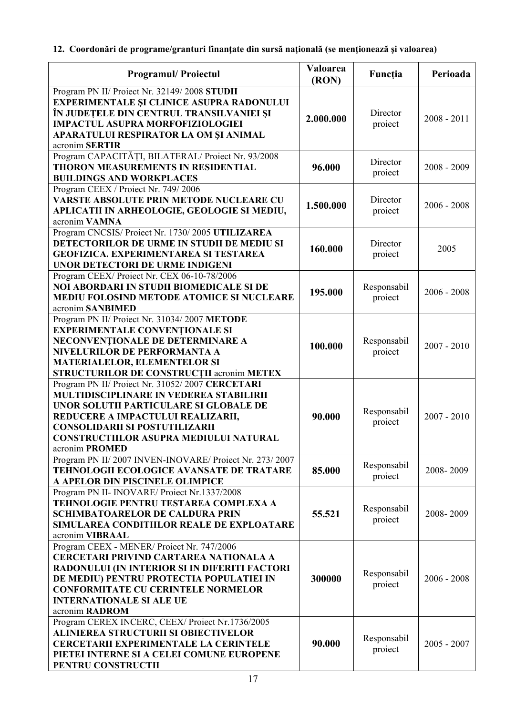# **12. Coordonări de programe/granturi finanţate din sursă naţională (se menţionează şi valoarea)**

| <b>Programul/Proiectul</b>                                                                                                                                                                                                                                                                 | Valoarea<br>(RON) | Funcția                | Perioada      |
|--------------------------------------------------------------------------------------------------------------------------------------------------------------------------------------------------------------------------------------------------------------------------------------------|-------------------|------------------------|---------------|
| Program PN II/ Proiect Nr. 32149/2008 STUDII<br>EXPERIMENTALE ȘI CLINICE ASUPRA RADONULUI<br>ÎN JUDEȚELE DIN CENTRUL TRANSILVANIEI ȘI<br><b>IMPACTUL ASUPRA MORFOFIZIOLOGIEI</b><br>APARATULUI RESPIRATOR LA OM ȘI ANIMAL<br>acronim SERTIR                                                | 2.000.000         | Director<br>proiect    | $2008 - 2011$ |
| Program CAPACITĂȚI, BILATERAL/Proiect Nr. 93/2008<br><b>THORON MEASUREMENTS IN RESIDENTIAL</b><br><b>BUILDINGS AND WORKPLACES</b>                                                                                                                                                          | 96.000            | Director<br>proiect    | $2008 - 2009$ |
| Program CEEX / Proiect Nr. 749/2006<br>VARSTE ABSOLUTE PRIN METODE NUCLEARE CU<br>APLICATII IN ARHEOLOGIE, GEOLOGIE SI MEDIU,<br>acronim VAMNA                                                                                                                                             | 1.500.000         | Director<br>proiect    | $2006 - 2008$ |
| Program CNCSIS/ Proiect Nr. 1730/2005 UTILIZAREA<br>DETECTORILOR DE URME IN STUDII DE MEDIU SI<br><b>GEOFIZICA. EXPERIMENTAREA SI TESTAREA</b><br>UNOR DETECTORI DE URME INDIGENI                                                                                                          | 160.000           | Director<br>proiect    | 2005          |
| Program CEEX/ Proiect Nr. CEX 06-10-78/2006<br>NOI ABORDARI IN STUDII BIOMEDICALE SI DE<br><b>MEDIU FOLOSIND METODE ATOMICE SI NUCLEARE</b><br>acronim SANBIMED                                                                                                                            | 195.000           | Responsabil<br>project | $2006 - 2008$ |
| Program PN II/ Proiect Nr. 31034/2007 METODE<br><b>EXPERIMENTALE CONVENTIONALE SI</b><br>NECONVENTIONALE DE DETERMINARE A<br>NIVELURILOR DE PERFORMANTA A<br><b>MATERIALELOR, ELEMENTELOR SI</b><br>STRUCTURILOR DE CONSTRUCȚII acronim METEX                                              | 100.000           | Responsabil<br>proiect | $2007 - 2010$ |
| Program PN II/ Proiect Nr. 31052/2007 CERCETARI<br>MULTIDISCIPLINARE IN VEDEREA STABILIRII<br>UNOR SOLUTII PARTICULARE SI GLOBALE DE<br>REDUCERE A IMPACTULUI REALIZARII,<br><b>CONSOLIDARII SI POSTUTILIZARII</b><br>CONSTRUCTIILOR ASUPRA MEDIULUI NATURAL<br>acronim PROMED             | 90.000            | Responsabil<br>proiect | $2007 - 2010$ |
| Program PN II/2007 INVEN-INOVARE/ Proiect Nr. 273/2007<br>TEHNOLOGII ECOLOGICE AVANSATE DE TRATARE<br>A APELOR DIN PISCINELE OLIMPICE                                                                                                                                                      | 85.000            | Responsabil<br>proiect | 2008-2009     |
| Program PN II- INOVARE/ Proiect Nr.1337/2008<br>TEHNOLOGIE PENTRU TESTAREA COMPLEXA A<br><b>SCHIMBATOARELOR DE CALDURA PRIN</b><br>SIMULAREA CONDITIILOR REALE DE EXPLOATARE<br>acronim VIBRAAL                                                                                            | 55.521            | Responsabil<br>proiect | 2008-2009     |
| Program CEEX - MENER/ Proiect Nr. 747/2006<br><b>CERCETARI PRIVIND CARTAREA NATIONALA A</b><br>RADONULUI (IN INTERIOR SI IN DIFERITI FACTORI<br>DE MEDIU) PENTRU PROTECTIA POPULATIEI IN<br><b>CONFORMITATE CU CERINTELE NORMELOR</b><br><b>INTERNATIONALE SI ALE UE</b><br>acronim RADROM | 300000            | Responsabil<br>proiect | $2006 - 2008$ |
| Program CEREX INCERC, CEEX/ Proiect Nr.1736/2005<br><b>ALINIEREA STRUCTURII SI OBIECTIVELOR</b><br><b>CERCETARII EXPERIMENTALE LA CERINTELE</b><br>PIETEI INTERNE SI A CELEI COMUNE EUROPENE<br>PENTRU CONSTRUCTII                                                                         | 90.000            | Responsabil<br>proiect | $2005 - 2007$ |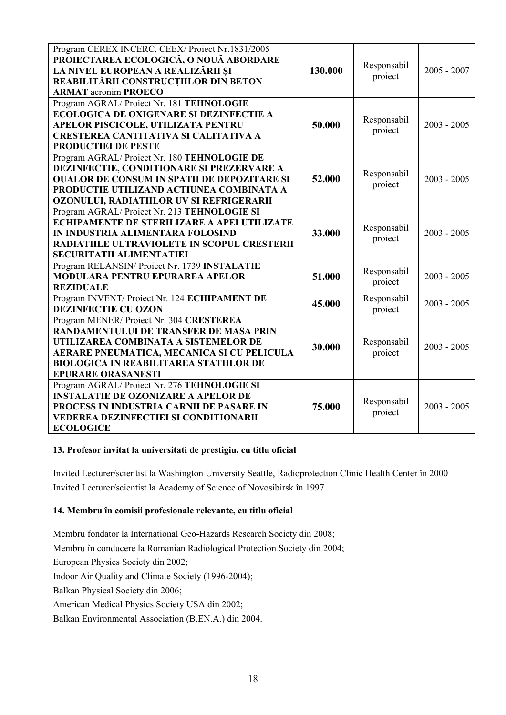| Program CEREX INCERC, CEEX/ Proiect Nr.1831/2005<br>PROIECTAREA ECOLOGICĂ, O NOUĂ ABORDARE<br>LA NIVEL EUROPEAN A REALIZĂRII ȘI<br>REABILITĂRII CONSTRUCȚIILOR DIN BETON<br><b>ARMAT</b> acronim PROECO                                                      | 130.000 | Responsabil<br>proiect | $2005 - 2007$ |
|--------------------------------------------------------------------------------------------------------------------------------------------------------------------------------------------------------------------------------------------------------------|---------|------------------------|---------------|
| Program AGRAL/Proiect Nr. 181 TEHNOLOGIE<br><b>ECOLOGICA DE OXIGENARE SI DEZINFECTIE A</b><br>APELOR PISCICOLE, UTILIZATA PENTRU<br><b>CRESTEREA CANTITATIVA SI CALITATIVA A</b><br>PRODUCTIEI DE PESTE                                                      | 50.000  | Responsabil<br>proiect | $2003 - 2005$ |
| Program AGRAL/Proiect Nr. 180 TEHNOLOGIE DE<br>DEZINFECTIE, CONDITIONARE SI PREZERVARE A<br><b>OUALOR DE CONSUM IN SPATII DE DEPOZITARE SI</b><br>PRODUCTIE UTILIZAND ACTIUNEA COMBINATA A<br>OZONULUI, RADIATIILOR UV SI REFRIGERARII                       | 52.000  | Responsabil<br>project | $2003 - 2005$ |
| Program AGRAL/Proiect Nr. 213 TEHNOLOGIE SI<br>ECHIPAMENTE DE STERILIZARE A APEI UTILIZATE<br>IN INDUSTRIA ALIMENTARA FOLOSIND<br>RADIATIILE ULTRAVIOLETE IN SCOPUL CRESTERII<br>SECURITATII ALIMENTATIEI                                                    | 33.000  | Responsabil<br>proiect | $2003 - 2005$ |
| Program RELANSIN/ Proiect Nr. 1739 INSTALATIE<br><b>MODULARA PENTRU EPURAREA APELOR</b><br><b>REZIDUALE</b>                                                                                                                                                  | 51.000  | Responsabil<br>proiect | $2003 - 2005$ |
| Program INVENT/ Proiect Nr. 124 ECHIPAMENT DE<br>DEZINFECTIE CU OZON                                                                                                                                                                                         | 45.000  | Responsabil<br>proiect | $2003 - 2005$ |
| Program MENER/Proiect Nr. 304 CRESTEREA<br><b>RANDAMENTULUI DE TRANSFER DE MASA PRIN</b><br>UTILIZAREA COMBINATA A SISTEMELOR DE<br>AERARE PNEUMATICA, MECANICA SI CU PELICULA<br><b>BIOLOGICA IN REABILITAREA STATIILOR DE</b><br><b>EPURARE ORASANESTI</b> | 30.000  | Responsabil<br>proiect | $2003 - 2005$ |
| Program AGRAL/Proiect Nr. 276 TEHNOLOGIE SI<br><b>INSTALATIE DE OZONIZARE A APELOR DE</b><br>PROCESS IN INDUSTRIA CARNII DE PASARE IN<br><b>VEDEREA DEZINFECTIEI SI CONDITIONARII</b><br><b>ECOLOGICE</b>                                                    | 75.000  | Responsabil<br>proiect | $2003 - 2005$ |

# **13. Profesor invitat la universitati de prestigiu, cu titlu oficial**

Invited Lecturer/scientist la Washington University Seattle, Radioprotection Clinic Health Center în 2000 Invited Lecturer/scientist la Academy of Science of Novosibirsk în 1997

# **14. Membru în comisii profesionale relevante, cu titlu oficial**

Membru fondator la International Geo-Hazards Research Society din 2008;

Membru în conducere la Romanian Radiological Protection Society din 2004;

European Physics Society din 2002;

Indoor Air Quality and Climate Society (1996-2004);

Balkan Physical Society din 2006;

American Medical Physics Society USA din 2002;

Balkan Environmental Association (B.EN.A.) din 2004.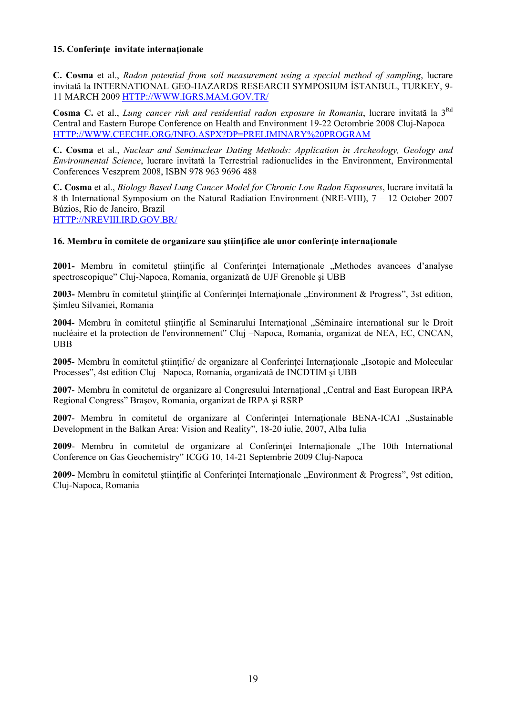# **15. Conferinţe invitate internaţionale**

**C. Cosma** et al., *Radon potential from soil measurement using a special method of sampling*, lucrare invitată la INTERNATIONAL GEO-HAZARDS RESEARCH SYMPOSIUM İSTANBUL, TURKEY, 9- 11 MARCH 2009 HTTP://WWW.IGRS.MAM.GOV.TR/

**Cosma C.** et al., *Lung cancer risk and residential radon exposure in Romania*, lucrare invitată la 3Rd Central and Eastern Europe Conference on Health and Environment 19-22 Octombrie 2008 Cluj-Napoca HTTP://WWW.CEECHE.ORG/INFO.ASPX?DP=PRELIMINARY%20PROGRAM

**C. Cosma** et al., *Nuclear and Seminuclear Dating Methods: Application in Archeology, Geology and Environmental Science*, lucrare invitată la Terrestrial radionuclides in the Environment, Environmental Conferences Veszprem 2008, ISBN 978 963 9696 488

**C. Cosma** et al., *Biology Based Lung Cancer Model for Chronic Low Radon Exposures*, lucrare invitată la 8 th International Symposium on the Natural Radiation Environment (NRE-VIII), 7 – 12 October 2007 Búzios, Rio de Janeiro, Brazil

HTTP://NREVIII.IRD.GOV.BR/

#### **16. Membru în comitete de organizare sau ştiinţifice ale unor conferinţe internaţionale**

2001- Membru în comitetul științific al Conferinței Internaționale "Methodes avancees d'analyse spectroscopique" Cluj-Napoca, Romania, organizatǎ de UJF Grenoble şi UBB

**2003-** Membru în comitetul stiintific al Conferintei Internationale "Environment & Progress", 3st edition, Şimleu Silvaniei, Romania

2004- Membru în comitetul științific al Seminarului Internațional "Séminaire international sur le Droit nucléaire et la protection de l'environnement" Cluj –Napoca, Romania, organizat de NEA, EC, CNCAN, UBB

**2005**- Membru în comitetul științific/ de organizare al Conferinței Internaționale "Isotopic and Molecular Processes", 4st edition Cluj –Napoca, Romania, organizatǎ de INCDTIM şi UBB

**2007**- Membru în comitetul de organizare al Congresului Internaţional "Central and East European IRPA Regional Congress" Braşov, Romania, organizat de IRPA şi RSRP

**2007-** Membru în comitetul de organizare al Conferintei Internationale BENA-ICAI "Sustainable Development in the Balkan Area: Vision and Reality", 18-20 iulie, 2007, Alba Iulia

**2009-** Membru în comitetul de organizare al Conferinței Internaționale "The 10th International Conference on Gas Geochemistry" ICGG 10, 14-21 Septembrie 2009 Cluj-Napoca

**2009-** Membru în comitetul stiintific al Conferintei Internationale "Environment & Progress", 9st edition, Cluj-Napoca, Romania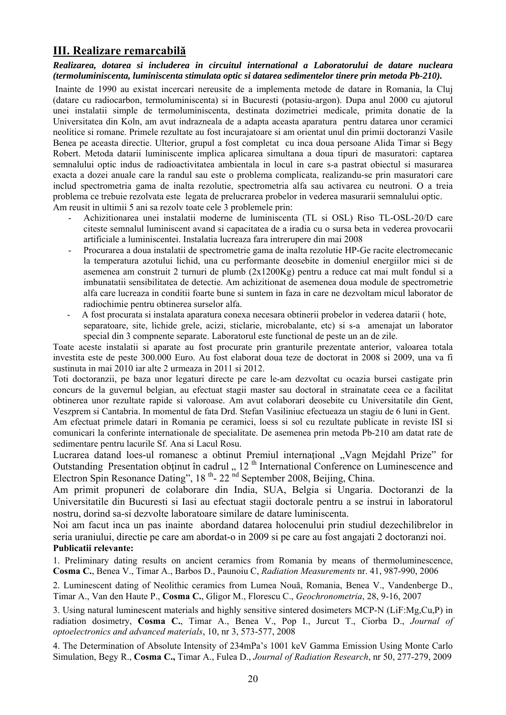# **III. Realizare remarcabilă**

#### *Realizarea, dotarea si includerea in circuitul international a Laboratorului de datare nucleara (termoluminiscenta, luminiscenta stimulata optic si datarea sedimentelor tinere prin metoda Pb-210).*

 Inainte de 1990 au existat incercari nereusite de a implementa metode de datare in Romania, la Cluj (datare cu radiocarbon, termoluminiscenta) si in Bucuresti (potasiu-argon). Dupa anul 2000 cu ajutorul unei instalatii simple de termoluminiscenta, destinata dozimetriei medicale, primita donatie de la Universitatea din Koln, am avut indrazneala de a adapta aceasta aparatura pentru datarea unor ceramici neolitice si romane. Primele rezultate au fost incurajatoare si am orientat unul din primii doctoranzi Vasile Benea pe aceasta directie. Ulterior, grupul a fost completat cu inca doua persoane Alida Timar si Begy Robert. Metoda datarii luminiscente implica aplicarea simultana a doua tipuri de masuratori: captarea semnalului optic indus de radioactivitatea ambientala in locul in care s-a pastrat obiectul si masurarea exacta a dozei anuale care la randul sau este o problema complicata, realizandu-se prin masuratori care includ spectrometria gama de inalta rezolutie, spectrometria alfa sau activarea cu neutroni. O a treia problema ce trebuie rezolvata este legata de prelucrarea probelor in vederea masurarii semnalului optic. Am reusit in ultimii 5 ani sa rezolv toate cele 3 problemele prin:

- Achizitionarea unei instalatii moderne de luminiscenta (TL si OSL) Riso TL-OSL-20/D care citeste semnalul luminiscent avand si capacitatea de a iradia cu o sursa beta in vederea provocarii artificiale a luminiscentei. Instalatia lucreaza fara intrerupere din mai 2008
- Procurarea a doua instalatii de spectrometrie gama de inalta rezolutie HP-Ge racite electromecanic la temperatura azotului lichid, una cu performante deosebite in domeniul energiilor mici si de asemenea am construit 2 turnuri de plumb (2x1200Kg) pentru a reduce cat mai mult fondul si a imbunatatii sensibilitatea de detectie. Am achizitionat de asemenea doua module de spectrometrie alfa care lucreaza in conditii foarte bune si suntem in faza in care ne dezvoltam micul laborator de radiochimie pentru obtinerea surselor alfa.
- A fost procurata si instalata aparatura conexa necesara obtinerii probelor in vederea datarii ( hote, separatoare, site, lichide grele, acizi, sticlarie, microbalante, etc) si s-a amenajat un laborator special din 3 compnente separate. Laboratorul este functional de peste un an de zile.

Toate aceste instalatii si aparate au fost procurate prin granturile prezentate anterior, valoarea totala investita este de peste 300.000 Euro. Au fost elaborat doua teze de doctorat in 2008 si 2009, una va fi sustinuta in mai 2010 iar alte 2 urmeaza in 2011 si 2012.

Toti doctoranzii, pe baza unor legaturi directe pe care le-am dezvoltat cu ocazia bursei castigate prin concurs de la guvernul belgian, au efectuat stagii master sau doctoral in strainatate ceea ce a facilitat obtinerea unor rezultate rapide si valoroase. Am avut colaborari deosebite cu Universitatile din Gent, Veszprem si Cantabria. In momentul de fata Drd. Stefan Vasiliniuc efectueaza un stagiu de 6 luni in Gent.

Am efectuat primele datari in Romania pe ceramici, loess si sol cu rezultate publicate in reviste ISI si comunicari la conferinte internationale de specialitate. De asemenea prin metoda Pb-210 am datat rate de sedimentare pentru lacurile Sf. Ana si Lacul Rosu.

Lucrarea datand loes-ul romanesc a obtinut Premiul internațional "Vagn Mejdahl Prize" for Outstanding Presentation obținut în cadrul  $\,$ , 12<sup>th</sup> International Conference on Luminescence and Electron Spin Resonance Dating",  $18$ <sup>th</sup>- 22<sup>nd</sup> September 2008, Beijing, China.

Am primit propuneri de colaborare din India, SUA, Belgia si Ungaria. Doctoranzi de la Universitatile din Bucuresti si Iasi au efectuat stagii doctorale pentru a se instrui in laboratorul nostru, dorind sa-si dezvolte laboratoare similare de datare luminiscenta.

Noi am facut inca un pas inainte abordand datarea holocenului prin studiul dezechilibrelor in seria uraniului, directie pe care am abordat-o in 2009 si pe care au fost angajati 2 doctoranzi noi. **Publicatii relevante:**

1. Preliminary dating results on ancient ceramics from Romania by means of thermoluminescence, **Cosma C.**, Benea V., Timar A., Barbos D., Paunoiu C, *Radiation Measurements* nr. 41, 987-990, 2006

2. Luminescent dating of Neolithic ceramics from Lumea Nouă, Romania, Benea V., Vandenberge D., Timar A., Van den Haute P., **Cosma C.**, Gligor M., Florescu C., *Geochronometria*, 28, 9-16, 2007

3. Using natural luminescent materials and highly sensitive sintered dosimeters MCP-N (LiF:Mg,Cu,P) in radiation dosimetry, **Cosma C.**, Timar A., Benea V., Pop I., Jurcut T., Ciorba D., *Journal of optoelectronics and advanced materials*, 10, nr 3, 573-577, 2008

4. The Determination of Absolute Intensity of 234mPa's 1001 keV Gamma Emission Using Monte Carlo Simulation, Begy R., **Cosma C.,** Timar A., Fulea D., *Journal of Radiation Research*, nr 50, 277-279, 2009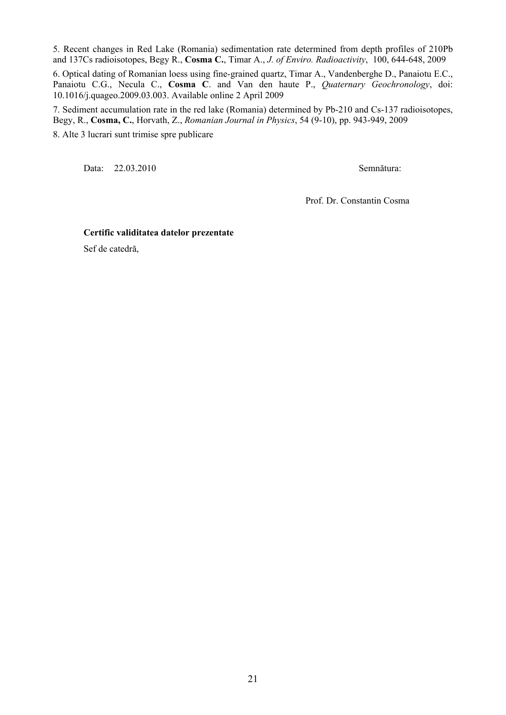5. Recent changes in Red Lake (Romania) sedimentation rate determined from depth profiles of 210Pb and 137Cs radioisotopes, Begy R., **Cosma C.**, Timar A., *J. of Enviro. Radioactivity*, 100, 644-648, 2009

6. Optical dating of Romanian loess using fine-grained quartz, Timar A., Vandenberghe D., Panaiotu E.C., Panaiotu C.G., Necula C., **Cosma C**. and Van den haute P., *Quaternary Geochronology*, doi: 10.1016/j.quageo.2009.03.003. Available online 2 April 2009

7. Sediment accumulation rate in the red lake (Romania) determined by Pb-210 and Cs-137 radioisotopes, Begy, R., **Cosma, C.**, Horvath, Z., *Romanian Journal in Physics*, 54 (9-10), pp. 943-949, 2009 8. Alte 3 lucrari sunt trimise spre publicare

Data: 22.03.2010 Semnătura:

Prof. Dr. Constantin Cosma

#### **Certific validitatea datelor prezentate**

Sef de catedră,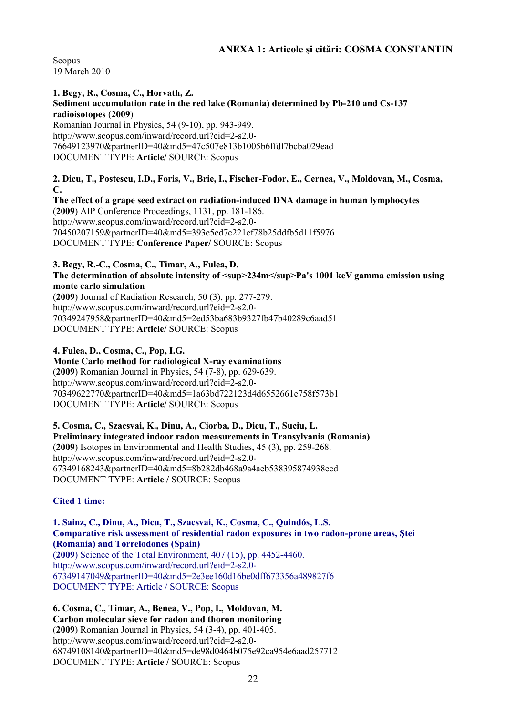Scopus 19 March 2010

**1. Begy, R., Cosma, C., Horvath, Z. Sediment accumulation rate in the red lake (Romania) determined by Pb-210 and Cs-137 radioisotopes** (**2009**) Romanian Journal in Physics, 54 (9-10), pp. 943-949. http://www.scopus.com/inward/record.url?eid=2-s2.0- 76649123970&partnerID=40&md5=47c507e813b1005b6ffdf7bcba029ead DOCUMENT TYPE: **Article/** SOURCE: Scopus

**2. Dicu, T., Postescu, I.D., Foris, V., Brie, I., Fischer-Fodor, E., Cernea, V., Moldovan, M., Cosma, C.** 

**The effect of a grape seed extract on radiation-induced DNA damage in human lymphocytes**  (**2009**) AIP Conference Proceedings, 1131, pp. 181-186. http://www.scopus.com/inward/record.url?eid=2-s2.0- 70450207159&partnerID=40&md5=393e5ed7c221ef78b25ddfb5d11f5976 DOCUMENT TYPE: **Conference Paper/** SOURCE: Scopus

#### **3. Begy, R.-C., Cosma, C., Timar, A., Fulea, D.**  The determination of absolute intensity of  $\langle \text{sup}>234\text{m}\langle \text{sup}>Pa\text{'}s\ 1001\ \text{keV}$  gamma emission using **monte carlo simulation**

(**2009**) Journal of Radiation Research, 50 (3), pp. 277-279. http://www.scopus.com/inward/record.url?eid=2-s2.0- 70349247958&partnerID=40&md5=2ed53ba683b9327fb47b40289c6aad51 DOCUMENT TYPE: **Article/** SOURCE: Scopus

**4. Fulea, D., Cosma, C., Pop, I.G.** 

**Monte Carlo method for radiological X-ray examinations**  (**2009**) Romanian Journal in Physics, 54 (7-8), pp. 629-639. http://www.scopus.com/inward/record.url?eid=2-s2.0- 70349622770&partnerID=40&md5=1a63bd722123d4d6552661e758f573b1 DOCUMENT TYPE: **Article/** SOURCE: Scopus

**5. Cosma, C., Szacsvai, K., Dinu, A., Ciorba, D., Dicu, T., Suciu, L. Preliminary integrated indoor radon measurements in Transylvania (Romania)**  (**2009**) Isotopes in Environmental and Health Studies, 45 (3), pp. 259-268. http://www.scopus.com/inward/record.url?eid=2-s2.0- 67349168243&partnerID=40&md5=8b282db468a9a4aeb538395874938ecd DOCUMENT TYPE: **Article /** SOURCE: Scopus

**Cited 1 time:** 

**1. Sainz, C., Dinu, A., Dicu, T., Szacsvai, K., Cosma, C., Quindós, L.S. Comparative risk assessment of residential radon exposures in two radon-prone areas, Ştei (Romania) and Torrelodones (Spain)** 

(**2009**) Science of the Total Environment, 407 (15), pp. 4452-4460. http://www.scopus.com/inward/record.url?eid=2-s2.0- 67349147049&partnerID=40&md5=2e3ee160d16be0dff673356a489827f6 DOCUMENT TYPE: Article / SOURCE: Scopus

**6. Cosma, C., Timar, A., Benea, V., Pop, I., Moldovan, M. Carbon molecular sieve for radon and thoron monitoring**  (**2009**) Romanian Journal in Physics, 54 (3-4), pp. 401-405. http://www.scopus.com/inward/record.url?eid=2-s2.0- 68749108140&partnerID=40&md5=de98d0464b075e92ca954e6aad257712 DOCUMENT TYPE: **Article /** SOURCE: Scopus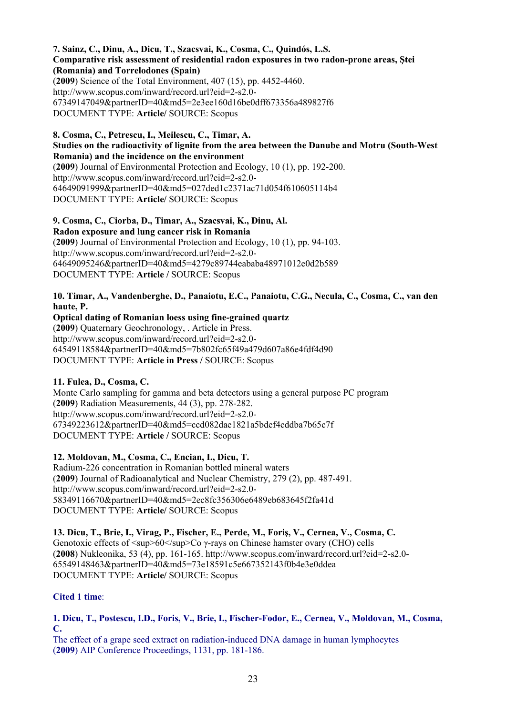**7. Sainz, C., Dinu, A., Dicu, T., Szacsvai, K., Cosma, C., Quindós, L.S. Comparative risk assessment of residential radon exposures in two radon-prone areas, Ştei (Romania) and Torrelodones (Spain)**  (**2009**) Science of the Total Environment, 407 (15), pp. 4452-4460. http://www.scopus.com/inward/record.url?eid=2-s2.0- 67349147049&partnerID=40&md5=2e3ee160d16be0dff673356a489827f6 DOCUMENT TYPE: **Article/** SOURCE: Scopus

#### **8. Cosma, C., Petrescu, I., Meilescu, C., Timar, A. Studies on the radioactivity of lignite from the area between the Danube and Motru (South-West Romania) and the incidence on the environment**

(**2009**) Journal of Environmental Protection and Ecology, 10 (1), pp. 192-200. http://www.scopus.com/inward/record.url?eid=2-s2.0- 64649091999&partnerID=40&md5=027ded1c2371ac71d054f610605114b4 DOCUMENT TYPE: **Article/** SOURCE: Scopus

**9. Cosma, C., Ciorba, D., Timar, A., Szacsvai, K., Dinu, Al. Radon exposure and lung cancer risk in Romania**  (**2009**) Journal of Environmental Protection and Ecology, 10 (1), pp. 94-103. http://www.scopus.com/inward/record.url?eid=2-s2.0- 64649095246&partnerID=40&md5=4279c89744eababa48971012e0d2b589 DOCUMENT TYPE: **Article /** SOURCE: Scopus

**10. Timar, A., Vandenberghe, D., Panaiotu, E.C., Panaiotu, C.G., Necula, C., Cosma, C., van den haute, P.** 

**Optical dating of Romanian loess using fine-grained quartz**  (**2009**) Quaternary Geochronology, . Article in Press. http://www.scopus.com/inward/record.url?eid=2-s2.0- 64549118584&partnerID=40&md5=7b802fc65f49a479d607a86e4fdf4d90 DOCUMENT TYPE: **Article in Press /** SOURCE: Scopus

# **11. Fulea, D., Cosma, C.**

Monte Carlo sampling for gamma and beta detectors using a general purpose PC program (**2009**) Radiation Measurements, 44 (3), pp. 278-282. http://www.scopus.com/inward/record.url?eid=2-s2.0- 67349223612&partnerID=40&md5=ccd082dae1821a5bdef4cddba7b65c7f DOCUMENT TYPE: **Article /** SOURCE: Scopus

**12. Moldovan, M., Cosma, C., Encian, I., Dicu, T.** 

Radium-226 concentration in Romanian bottled mineral waters (**2009**) Journal of Radioanalytical and Nuclear Chemistry, 279 (2), pp. 487-491. http://www.scopus.com/inward/record.url?eid=2-s2.0- 58349116670&partnerID=40&md5=2ec8fc356306e6489eb683645f2fa41d DOCUMENT TYPE: **Article/** SOURCE: Scopus

**13. Dicu, T., Brie, I., Virag, P., Fischer, E., Perde, M., Foriş, V., Cernea, V., Cosma, C.**  Genotoxic effects of  $\langle \text{sup}_{\geq 0} \rangle$  60 $\langle \text{sup}_{\geq 0} \rangle$  cover  $\langle \text{CHO} \rangle$  cells (**2008**) Nukleonika, 53 (4), pp. 161-165. http://www.scopus.com/inward/record.url?eid=2-s2.0- 65549148463&partnerID=40&md5=73e18591c5e667352143f0b4e3e0ddea DOCUMENT TYPE: **Article/** SOURCE: Scopus

# **Cited 1 time**:

**1. Dicu, T., Postescu, I.D., Foris, V., Brie, I., Fischer-Fodor, E., Cernea, V., Moldovan, M., Cosma, C.** 

The effect of a grape seed extract on radiation-induced DNA damage in human lymphocytes (**2009**) AIP Conference Proceedings, 1131, pp. 181-186.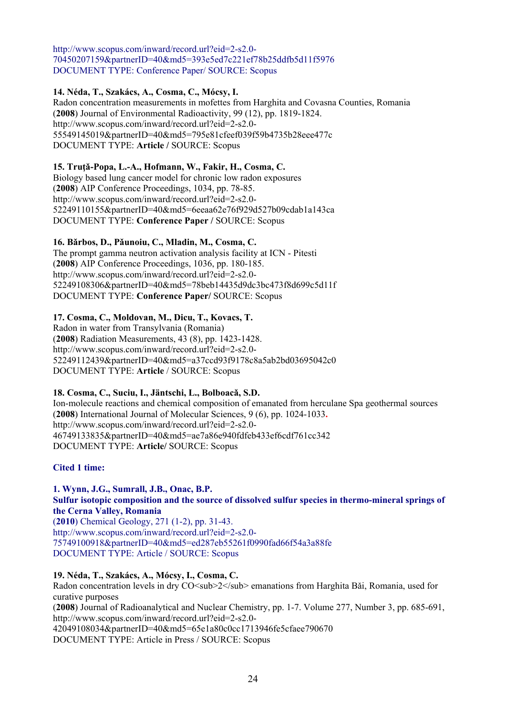http://www.scopus.com/inward/record.url?eid=2-s2.0- 70450207159&partnerID=40&md5=393e5ed7c221ef78b25ddfb5d11f5976 DOCUMENT TYPE: Conference Paper/ SOURCE: Scopus

# **14. Néda, T., Szakács, A., Cosma, C., Mócsy, I.**

Radon concentration measurements in mofettes from Harghita and Covasna Counties, Romania (**2008**) Journal of Environmental Radioactivity, 99 (12), pp. 1819-1824. http://www.scopus.com/inward/record.url?eid=2-s2.0- 55549145019&partnerID=40&md5=795e81cfeef039f59b4735b28eee477c DOCUMENT TYPE: **Article /** SOURCE: Scopus

# **15. Truţǎ-Popa, L.-A., Hofmann, W., Fakir, H., Cosma, C.**

Biology based lung cancer model for chronic low radon exposures (**2008**) AIP Conference Proceedings, 1034, pp. 78-85. http://www.scopus.com/inward/record.url?eid=2-s2.0- 52249110155&partnerID=40&md5=6eeaa62e76f929d527b09cdab1a143ca DOCUMENT TYPE: **Conference Paper /** SOURCE: Scopus

# **16. Bǎrbos, D., Pǎunoiu, C., Mladin, M., Cosma, C.**

The prompt gamma neutron activation analysis facility at ICN - Pitesti (**2008**) AIP Conference Proceedings, 1036, pp. 180-185. http://www.scopus.com/inward/record.url?eid=2-s2.0- 52249108306&partnerID=40&md5=78beb14435d9dc3bc473f8d699c5d11f DOCUMENT TYPE: **Conference Paper/** SOURCE: Scopus

# **17. Cosma, C., Moldovan, M., Dicu, T., Kovacs, T.**

Radon in water from Transylvania (Romania) (**2008**) Radiation Measurements, 43 (8), pp. 1423-1428. http://www.scopus.com/inward/record.url?eid=2-s2.0- 52249112439&partnerID=40&md5=a37ccd93f9178c8a5ab2bd03695042c0 DOCUMENT TYPE: **Article** / SOURCE: Scopus

# **18. Cosma, C., Suciu, I., Jäntschi, L., Bolboacǎ, S.D.**

Ion-molecule reactions and chemical composition of emanated from herculane Spa geothermal sources (**2008**) International Journal of Molecular Sciences, 9 (6), pp. 1024-1033**.**  http://www.scopus.com/inward/record.url?eid=2-s2.0- 46749133835&partnerID=40&md5=ae7a86e940fdfeb433ef6cdf761cc342 DOCUMENT TYPE: **Article/** SOURCE: Scopus

# **Cited 1 time:**

#### **1. Wynn, J.G., Sumrall, J.B., Onac, B.P. Sulfur isotopic composition and the source of dissolved sulfur species in thermo-mineral springs of the Cerna Valley, Romania**

(**2010**) Chemical Geology, 271 (1-2), pp. 31-43. http://www.scopus.com/inward/record.url?eid=2-s2.0- 75749100918&partnerID=40&md5=ed287eb55261f0990fad66f54a3a88fe DOCUMENT TYPE: Article / SOURCE: Scopus

# **19. Néda, T., Szakács, A., Mócsy, I., Cosma, C.**

Radon concentration levels in dry CO<sub>2</sub> emanations from Harghita Bǎi, Romania, used for curative purposes (**2008**) Journal of Radioanalytical and Nuclear Chemistry, pp. 1-7. Volume 277, Number 3, pp. 685-691, http://www.scopus.com/inward/record.url?eid=2-s2.0- 42049108034&partnerID=40&md5=65e1a80c0cc1713946fe5cfaee790670 DOCUMENT TYPE: Article in Press / SOURCE: Scopus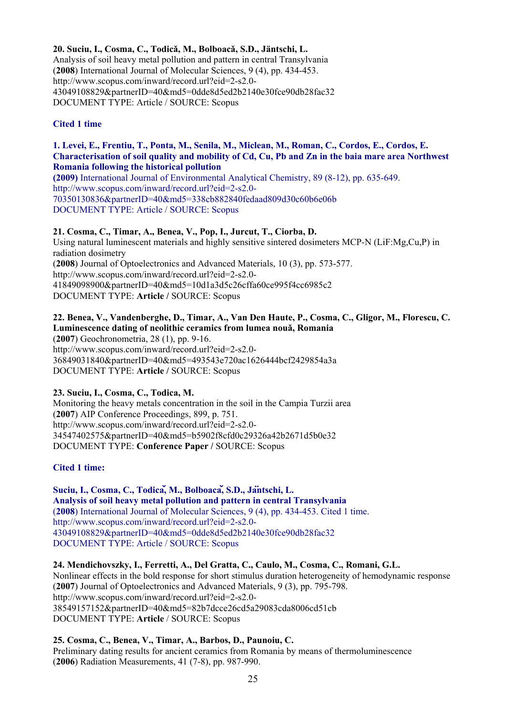**20. Suciu, I., Cosma, C., Todicǎ, M., Bolboacǎ, S.D., Jäntschi, L.**  Analysis of soil heavy metal pollution and pattern in central Transylvania (**2008**) International Journal of Molecular Sciences, 9 (4), pp. 434-453. http://www.scopus.com/inward/record.url?eid=2-s2.0- 43049108829&partnerID=40&md5=0dde8d5ed2b2140e30fce90db28fac32 DOCUMENT TYPE: Article / SOURCE: Scopus

# **Cited 1 time**

**1. Levei, E., Frentiu, T., Ponta, M., Senila, M., Miclean, M., Roman, C., Cordos, E., Cordos, E. Characterisation of soil quality and mobility of Cd, Cu, Pb and Zn in the baia mare area Northwest Romania following the historical pollution (2009)** International Journal of Environmental Analytical Chemistry, 89 (8-12), pp. 635-649. http://www.scopus.com/inward/record.url?eid=2-s2.0-

70350130836&partnerID=40&md5=338cb882840fedaad809d30c60b6e06b DOCUMENT TYPE: Article / SOURCE: Scopus

# **21. Cosma, C., Timar, A., Benea, V., Pop, I., Jurcut, T., Ciorba, D.**

Using natural luminescent materials and highly sensitive sintered dosimeters MCP-N (LiF:Mg,Cu,P) in radiation dosimetry (**2008**) Journal of Optoelectronics and Advanced Materials, 10 (3), pp. 573-577. http://www.scopus.com/inward/record.url?eid=2-s2.0- 41849098900&partnerID=40&md5=10d1a3d5c26cffa60ce995f4cc6985c2 DOCUMENT TYPE: **Article /** SOURCE: Scopus

# **22. Benea, V., Vandenberghe, D., Timar, A., Van Den Haute, P., Cosma, C., Gligor, M., Florescu, C. Luminescence dating of neolithic ceramics from lumea nouǎ, Romania**

(**2007**) Geochronometria, 28 (1), pp. 9-16. http://www.scopus.com/inward/record.url?eid=2-s2.0- 36849031840&partnerID=40&md5=493543e720ac1626444bcf2429854a3a DOCUMENT TYPE: **Article /** SOURCE: Scopus

# **23. Suciu, I., Cosma, C., Todica, M.**

Monitoring the heavy metals concentration in the soil in the Campia Turzii area (**2007**) AIP Conference Proceedings, 899, p. 751. http://www.scopus.com/inward/record.url?eid=2-s2.0- 34547402575&partnerID=40&md5=b5902f8cfd0c29326a42b2671d5b0e32 DOCUMENT TYPE: **Conference Paper /** SOURCE: Scopus

# **Cited 1 time:**

**Suciu, I., Cosma, C., Todicǎ, M., Bolboacǎ, S.D., Jäntschi, L. Analysis of soil heavy metal pollution and pattern in central Transylvania**  (**2008**) International Journal of Molecular Sciences, 9 (4), pp. 434-453. Cited 1 time. http://www.scopus.com/inward/record.url?eid=2-s2.0- 43049108829&partnerID=40&md5=0dde8d5ed2b2140e30fce90db28fac32 DOCUMENT TYPE: Article / SOURCE: Scopus

**24. Mendichovszky, I., Ferretti, A., Del Gratta, C., Caulo, M., Cosma, C., Romani, G.L.**  Nonlinear effects in the bold response for short stimulus duration heterogeneity of hemodynamic response (**2007**) Journal of Optoelectronics and Advanced Materials, 9 (3), pp. 795-798. http://www.scopus.com/inward/record.url?eid=2-s2.0- 38549157152&partnerID=40&md5=82b7dcce26cd5a29083cda8006cd51cb DOCUMENT TYPE: **Article** / SOURCE: Scopus

# **25. Cosma, C., Benea, V., Timar, A., Barbos, D., Paunoiu, C.**  Preliminary dating results for ancient ceramics from Romania by means of thermoluminescence (**2006**) Radiation Measurements, 41 (7-8), pp. 987-990.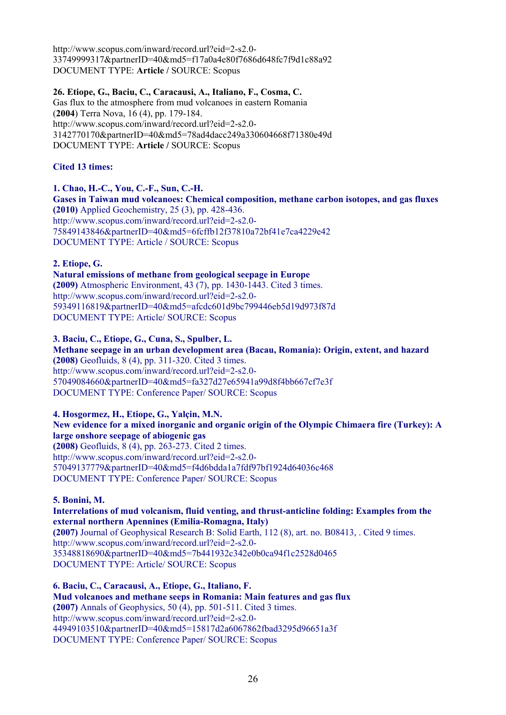http://www.scopus.com/inward/record.url?eid=2-s2.0- 33749999317&partnerID=40&md5=f17a0a4e80f7686d648fc7f9d1c88a92 DOCUMENT TYPE: **Article /** SOURCE: Scopus

#### **26. Etiope, G., Baciu, C., Caracausi, A., Italiano, F., Cosma, C.**

Gas flux to the atmosphere from mud volcanoes in eastern Romania (**2004**) Terra Nova, 16 (4), pp. 179-184. http://www.scopus.com/inward/record.url?eid=2-s2.0- 3142770170&partnerID=40&md5=78ad4dacc249a330604668f71380e49d DOCUMENT TYPE: **Article /** SOURCE: Scopus

#### **Cited 13 times:**

#### **1. Chao, H.-C., You, C.-F., Sun, C.-H.**

**Gases in Taiwan mud volcanoes: Chemical composition, methane carbon isotopes, and gas fluxes (2010)** Applied Geochemistry, 25 (3), pp. 428-436. http://www.scopus.com/inward/record.url?eid=2-s2.0- 75849143846&partnerID=40&md5=6fcffb12f37810a72bf41e7ca4229e42 DOCUMENT TYPE: Article / SOURCE: Scopus

#### **2. Etiope, G.**

**Natural emissions of methane from geological seepage in Europe (2009)** Atmospheric Environment, 43 (7), pp. 1430-1443. Cited 3 times. http://www.scopus.com/inward/record.url?eid=2-s2.0- 59349116819&partnerID=40&md5=afcdc601d9bc799446eb5d19d973f87d DOCUMENT TYPE: Article/ SOURCE: Scopus

#### **3. Baciu, C., Etiope, G., Cuna, S., Spulber, L.**

**Methane seepage in an urban development area (Bacau, Romania): Origin, extent, and hazard (2008)** Geofluids, 8 (4), pp. 311-320. Cited 3 times. http://www.scopus.com/inward/record.url?eid=2-s2.0- 57049084660&partnerID=40&md5=fa327d27e65941a99d8f4bb667cf7e3f DOCUMENT TYPE: Conference Paper/ SOURCE: Scopus

#### **4. Hosgormez, H., Etiope, G., Yalçin, M.N.**

# **New evidence for a mixed inorganic and organic origin of the Olympic Chimaera fire (Turkey): A large onshore seepage of abiogenic gas**

**(2008)** Geofluids, 8 (4), pp. 263-273. Cited 2 times. http://www.scopus.com/inward/record.url?eid=2-s2.0- 57049137779&partnerID=40&md5=f4d6bdda1a7fdf97bf1924d64036c468 DOCUMENT TYPE: Conference Paper/ SOURCE: Scopus

# **5. Bonini, M.**

#### **Interrelations of mud volcanism, fluid venting, and thrust-anticline folding: Examples from the external northern Apennines (Emilia-Romagna, Italy)**

**(2007)** Journal of Geophysical Research B: Solid Earth, 112 (8), art. no. B08413, . Cited 9 times. http://www.scopus.com/inward/record.url?eid=2-s2.0- 35348818690&partnerID=40&md5=7b441932c342e0b0ca94f1c2528d0465 DOCUMENT TYPE: Article/ SOURCE: Scopus

**6. Baciu, C., Caracausi, A., Etiope, G., Italiano, F. Mud volcanoes and methane seeps in Romania: Main features and gas flux (2007)** Annals of Geophysics, 50 (4), pp. 501-511. Cited 3 times. http://www.scopus.com/inward/record.url?eid=2-s2.0- 44949103510&partnerID=40&md5=15817d2a6067862fbad3295d96651a3f DOCUMENT TYPE: Conference Paper/ SOURCE: Scopus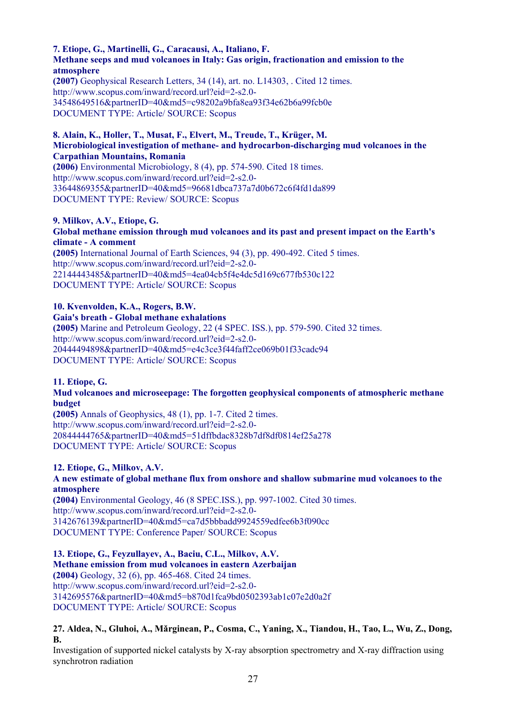#### **7. Etiope, G., Martinelli, G., Caracausi, A., Italiano, F. Methane seeps and mud volcanoes in Italy: Gas origin, fractionation and emission to the atmosphere**

**(2007)** Geophysical Research Letters, 34 (14), art. no. L14303, . Cited 12 times. http://www.scopus.com/inward/record.url?eid=2-s2.0- 34548649516&partnerID=40&md5=c98202a9bfa8ea93f34e62b6a99fcb0e DOCUMENT TYPE: Article/ SOURCE: Scopus

#### **8. Alain, K., Holler, T., Musat, F., Elvert, M., Treude, T., Krüger, M. Microbiological investigation of methane- and hydrocarbon-discharging mud volcanoes in the Carpathian Mountains, Romania**

**(2006)** Environmental Microbiology, 8 (4), pp. 574-590. Cited 18 times. http://www.scopus.com/inward/record.url?eid=2-s2.0- 33644869355&partnerID=40&md5=96681dbca737a7d0b672c6f4fd1da899 DOCUMENT TYPE: Review/ SOURCE: Scopus

#### **9. Milkov, A.V., Etiope, G. Global methane emission through mud volcanoes and its past and present impact on the Earth's climate - A comment**

**(2005)** International Journal of Earth Sciences, 94 (3), pp. 490-492. Cited 5 times. http://www.scopus.com/inward/record.url?eid=2-s2.0- 22144443485&partnerID=40&md5=4ea04cb5f4e4dc5d169c677fb530c122 DOCUMENT TYPE: Article/ SOURCE: Scopus

# **10. Kvenvolden, K.A., Rogers, B.W.**

**Gaia's breath - Global methane exhalations (2005)** Marine and Petroleum Geology, 22 (4 SPEC. ISS.), pp. 579-590. Cited 32 times. http://www.scopus.com/inward/record.url?eid=2-s2.0- 20444494898&partnerID=40&md5=e4c3ce3f44faff2ce069b01f33cadc94 DOCUMENT TYPE: Article/ SOURCE: Scopus

# **11. Etiope, G.**

# **Mud volcanoes and microseepage: The forgotten geophysical components of atmospheric methane budget**

**(2005)** Annals of Geophysics, 48 (1), pp. 1-7. Cited 2 times. http://www.scopus.com/inward/record.url?eid=2-s2.0- 20844444765&partnerID=40&md5=51dffbdac8328b7df8df0814ef25a278 DOCUMENT TYPE: Article/ SOURCE: Scopus

# **12. Etiope, G., Milkov, A.V.**

# **A new estimate of global methane flux from onshore and shallow submarine mud volcanoes to the atmosphere**

**(2004)** Environmental Geology, 46 (8 SPEC.ISS.), pp. 997-1002. Cited 30 times. http://www.scopus.com/inward/record.url?eid=2-s2.0- 3142676139&partnerID=40&md5=ca7d5bbbadd9924559edfee6b3f090cc DOCUMENT TYPE: Conference Paper/ SOURCE: Scopus

**13. Etiope, G., Feyzullayev, A., Baciu, C.L., Milkov, A.V. Methane emission from mud volcanoes in eastern Azerbaijan (2004)** Geology, 32 (6), pp. 465-468. Cited 24 times. http://www.scopus.com/inward/record.url?eid=2-s2.0- 3142695576&partnerID=40&md5=b870d1fca9bd0502393ab1c07e2d0a2f DOCUMENT TYPE: Article/ SOURCE: Scopus

# **27. Aldea, N., Gluhoi, A., Mǎrginean, P., Cosma, C., Yaning, X., Tiandou, H., Tao, L., Wu, Z., Dong, B.**

Investigation of supported nickel catalysts by X-ray absorption spectrometry and X-ray diffraction using synchrotron radiation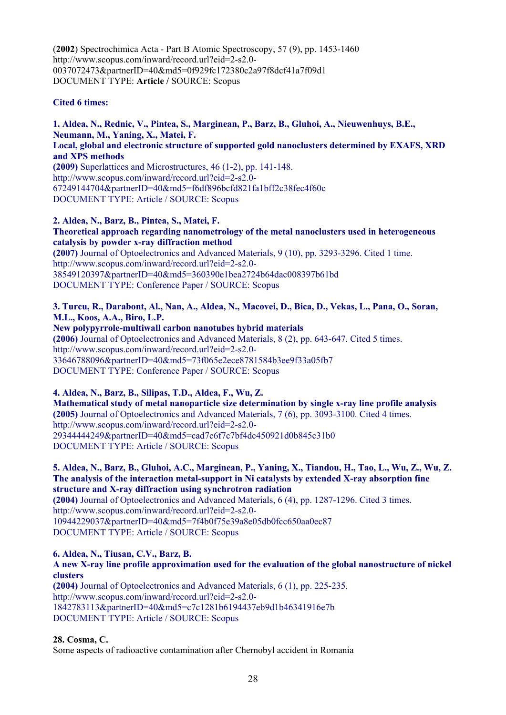(**2002**) Spectrochimica Acta - Part B Atomic Spectroscopy, 57 (9), pp. 1453-1460 http://www.scopus.com/inward/record.url?eid=2-s2.0- 0037072473&partnerID=40&md5=0f929fc172380c2a97f8dcf41a7f09d1 DOCUMENT TYPE: **Article /** SOURCE: Scopus

#### **Cited 6 times:**

**1. Aldea, N., Rednic, V., Pintea, S., Marginean, P., Barz, B., Gluhoi, A., Nieuwenhuys, B.E., Neumann, M., Yaning, X., Matei, F. Local, global and electronic structure of supported gold nanoclusters determined by EXAFS, XRD and XPS methods (2009)** Superlattices and Microstructures, 46 (1-2), pp. 141-148. http://www.scopus.com/inward/record.url?eid=2-s2.0- 67249144704&partnerID=40&md5=f6df896bcfd821fa1bff2c38fec4f60c DOCUMENT TYPE: Article / SOURCE: Scopus

**2. Aldea, N., Barz, B., Pintea, S., Matei, F. Theoretical approach regarding nanometrology of the metal nanoclusters used in heterogeneous catalysis by powder x-ray diffraction method (2007)** Journal of Optoelectronics and Advanced Materials, 9 (10), pp. 3293-3296. Cited 1 time. http://www.scopus.com/inward/record.url?eid=2-s2.0- 38549120397&partnerID=40&md5=360390e1bea2724b64dac008397b61bd DOCUMENT TYPE: Conference Paper / SOURCE: Scopus

#### **3. Turcu, R., Darabont, Al., Nan, A., Aldea, N., Macovei, D., Bica, D., Vekas, L., Pana, O., Soran, M.L., Koos, A.A., Biro, L.P.**

**New polypyrrole-multiwall carbon nanotubes hybrid materials (2006)** Journal of Optoelectronics and Advanced Materials, 8 (2), pp. 643-647. Cited 5 times. http://www.scopus.com/inward/record.url?eid=2-s2.0- 33646788096&partnerID=40&md5=73f065e2ece8781584b3ee9f33a05fb7 DOCUMENT TYPE: Conference Paper / SOURCE: Scopus

**4. Aldea, N., Barz, B., Silipas, T.D., Aldea, F., Wu, Z. Mathematical study of metal nanoparticle size determination by single x-ray line profile analysis (2005)** Journal of Optoelectronics and Advanced Materials, 7 (6), pp. 3093-3100. Cited 4 times. http://www.scopus.com/inward/record.url?eid=2-s2.0- 29344444249&partnerID=40&md5=cad7c6f7c7bf4dc450921d0b845c31b0 DOCUMENT TYPE: Article / SOURCE: Scopus

**5. Aldea, N., Barz, B., Gluhoi, A.C., Marginean, P., Yaning, X., Tiandou, H., Tao, L., Wu, Z., Wu, Z. The analysis of the interaction metal-support in Ni catalysts by extended X-ray absorption fine structure and X-ray diffraction using synchrotron radiation (2004)** Journal of Optoelectronics and Advanced Materials, 6 (4), pp. 1287-1296. Cited 3 times. http://www.scopus.com/inward/record.url?eid=2-s2.0- 10944229037&partnerID=40&md5=7f4b0f75e39a8e05db0fcc650aa0ec87 DOCUMENT TYPE: Article / SOURCE: Scopus

**6. Aldea, N., Tiusan, C.V., Barz, B. A new X-ray line profile approximation used for the evaluation of the global nanostructure of nickel clusters (2004)** Journal of Optoelectronics and Advanced Materials, 6 (1), pp. 225-235.

http://www.scopus.com/inward/record.url?eid=2-s2.0- 1842783113&partnerID=40&md5=c7c1281b6194437eb9d1b46341916e7b DOCUMENT TYPE: Article / SOURCE: Scopus

**28. Cosma, C.** 

Some aspects of radioactive contamination after Chernobyl accident in Romania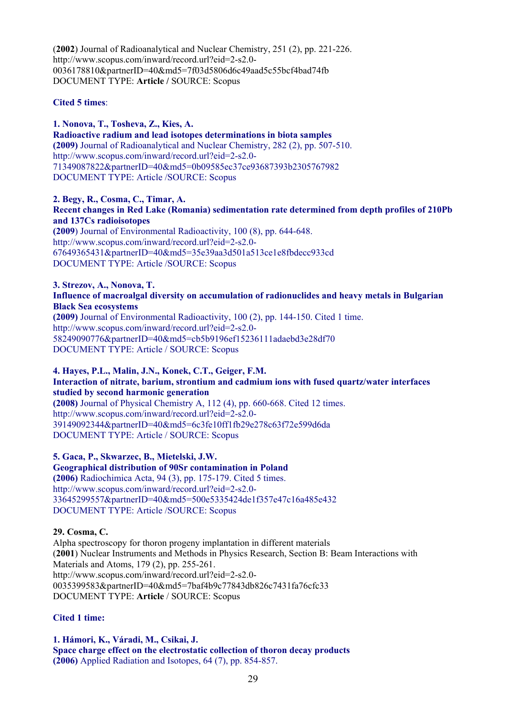(**2002**) Journal of Radioanalytical and Nuclear Chemistry, 251 (2), pp. 221-226. http://www.scopus.com/inward/record.url?eid=2-s2.0- 0036178810&partnerID=40&md5=7f03d5806d6c49aad5c55bcf4bad74fb DOCUMENT TYPE: **Article /** SOURCE: Scopus

# **Cited 5 times**:

**1. Nonova, T., Tosheva, Z., Kies, A. Radioactive radium and lead isotopes determinations in biota samples (2009)** Journal of Radioanalytical and Nuclear Chemistry, 282 (2), pp. 507-510. http://www.scopus.com/inward/record.url?eid=2-s2.0- 71349087822&partnerID=40&md5=0b09585ec37ce93687393b2305767982 DOCUMENT TYPE: Article /SOURCE: Scopus

**2. Begy, R., Cosma, C., Timar, A.** 

**Recent changes in Red Lake (Romania) sedimentation rate determined from depth profiles of 210Pb and 137Cs radioisotopes** 

**(2009**) Journal of Environmental Radioactivity, 100 (8), pp. 644-648. http://www.scopus.com/inward/record.url?eid=2-s2.0- 67649365431&partnerID=40&md5=35e39aa3d501a513ce1e8fbdecc933cd DOCUMENT TYPE: Article /SOURCE: Scopus

**3. Strezov, A., Nonova, T. Influence of macroalgal diversity on accumulation of radionuclides and heavy metals in Bulgarian Black Sea ecosystems** 

**(2009)** Journal of Environmental Radioactivity, 100 (2), pp. 144-150. Cited 1 time. http://www.scopus.com/inward/record.url?eid=2-s2.0- 58249090776&partnerID=40&md5=cb5b9196ef15236111adaebd3e28df70 DOCUMENT TYPE: Article / SOURCE: Scopus

#### **4. Hayes, P.L., Malin, J.N., Konek, C.T., Geiger, F.M. Interaction of nitrate, barium, strontium and cadmium ions with fused quartz/water interfaces studied by second harmonic generation**

**(2008)** Journal of Physical Chemistry A, 112 (4), pp. 660-668. Cited 12 times. http://www.scopus.com/inward/record.url?eid=2-s2.0- 39149092344&partnerID=40&md5=6c3fe10ff1fb29e278c63f72e599d6da DOCUMENT TYPE: Article / SOURCE: Scopus

**5. Gaca, P., Skwarzec, B., Mietelski, J.W.** 

**Geographical distribution of 90Sr contamination in Poland (2006)** Radiochimica Acta, 94 (3), pp. 175-179. Cited 5 times. http://www.scopus.com/inward/record.url?eid=2-s2.0- 33645299557&partnerID=40&md5=500e5335424de1f357e47c16a485e432 DOCUMENT TYPE: Article /SOURCE: Scopus

# **29. Cosma, C.**

Alpha spectroscopy for thoron progeny implantation in different materials (**2001**) Nuclear Instruments and Methods in Physics Research, Section B: Beam Interactions with Materials and Atoms, 179 (2), pp. 255-261. http://www.scopus.com/inward/record.url?eid=2-s2.0- 0035399583&partnerID=40&md5=7baf4b9c77843db826c7431fa76cfc33 DOCUMENT TYPE: **Article** / SOURCE: Scopus

# **Cited 1 time:**

**1. Hámori, K., Váradi, M., Csikai, J. Space charge effect on the electrostatic collection of thoron decay products (2006)** Applied Radiation and Isotopes, 64 (7), pp. 854-857.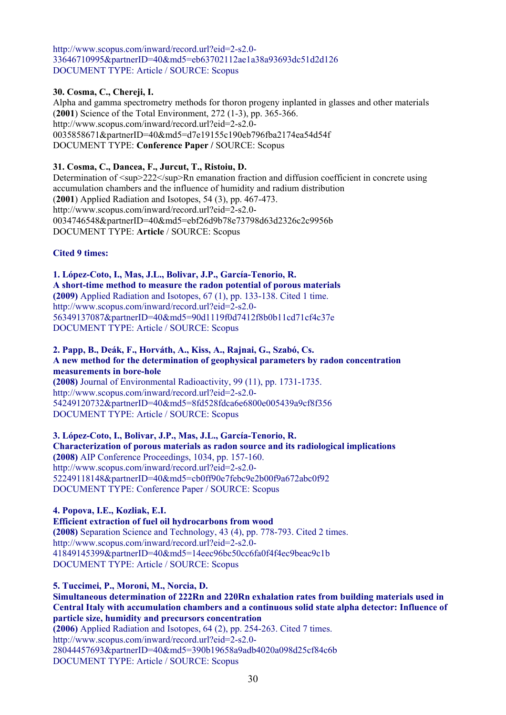http://www.scopus.com/inward/record.url?eid=2-s2.0- 33646710995&partnerID=40&md5=eb63702112ae1a38a93693dc51d2d126 DOCUMENT TYPE: Article / SOURCE: Scopus

# **30. Cosma, C., Chereji, I.**

Alpha and gamma spectrometry methods for thoron progeny inplanted in glasses and other materials (**2001**) Science of the Total Environment, 272 (1-3), pp. 365-366. http://www.scopus.com/inward/record.url?eid=2-s2.0- 0035858671&partnerID=40&md5=d7e19155c190eb796fba2174ea54d54f DOCUMENT TYPE: **Conference Paper /** SOURCE: Scopus

#### **31. Cosma, C., Dancea, F., Jurcut, T., Ristoiu, D.**

Determination of  $\langle \text{supp} \rangle$ 222 $\langle \text{supp} \rangle$ Rn emanation fraction and diffusion coefficient in concrete using accumulation chambers and the influence of humidity and radium distribution (**2001**) Applied Radiation and Isotopes, 54 (3), pp. 467-473. http://www.scopus.com/inward/record.url?eid=2-s2.0- 0034746548&partnerID=40&md5=ebf26d9b78e73798d63d2326c2c9956b DOCUMENT TYPE: **Article** / SOURCE: Scopus

#### **Cited 9 times:**

**1. López-Coto, I., Mas, J.L., Bolivar, J.P., García-Tenorio, R. A short-time method to measure the radon potential of porous materials (2009)** Applied Radiation and Isotopes, 67 (1), pp. 133-138. Cited 1 time. http://www.scopus.com/inward/record.url?eid=2-s2.0- 56349137087&partnerID=40&md5=90d1119f0d7412f8b0b11cd71cf4c37e DOCUMENT TYPE: Article / SOURCE: Scopus

# **2. Papp, B., Deák, F., Horváth, A., Kiss, A., Rajnai, G., Szabó, Cs. A new method for the determination of geophysical parameters by radon concentration measurements in bore-hole**

**(2008)** Journal of Environmental Radioactivity, 99 (11), pp. 1731-1735. http://www.scopus.com/inward/record.url?eid=2-s2.0- 54249120732&partnerID=40&md5=8fd528fdca6e6800e005439a9cf8f356 DOCUMENT TYPE: Article / SOURCE: Scopus

**3. López-Coto, I., Bolivar, J.P., Mas, J.L., García-Tenorio, R. Characterization of porous materials as radon source and its radiological implications (2008)** AIP Conference Proceedings, 1034, pp. 157-160. http://www.scopus.com/inward/record.url?eid=2-s2.0- 52249118148&partnerID=40&md5=cb0ff90e7febc9e2b00f9a672abc0f92 DOCUMENT TYPE: Conference Paper / SOURCE: Scopus

# **4. Popova, I.E., Kozliak, E.I.**

**Efficient extraction of fuel oil hydrocarbons from wood (2008)** Separation Science and Technology, 43 (4), pp. 778-793. Cited 2 times. http://www.scopus.com/inward/record.url?eid=2-s2.0-

41849145399&partnerID=40&md5=14eec96bc50cc6fa0f4f4ec9beac9c1b

DOCUMENT TYPE: Article / SOURCE: Scopus

**5. Tuccimei, P., Moroni, M., Norcia, D.** 

**Simultaneous determination of 222Rn and 220Rn exhalation rates from building materials used in Central Italy with accumulation chambers and a continuous solid state alpha detector: Influence of particle size, humidity and precursors concentration** 

**(2006)** Applied Radiation and Isotopes, 64 (2), pp. 254-263. Cited 7 times. http://www.scopus.com/inward/record.url?eid=2-s2.0- 28044457693&partnerID=40&md5=390b19658a9adb4020a098d25cf84c6b DOCUMENT TYPE: Article / SOURCE: Scopus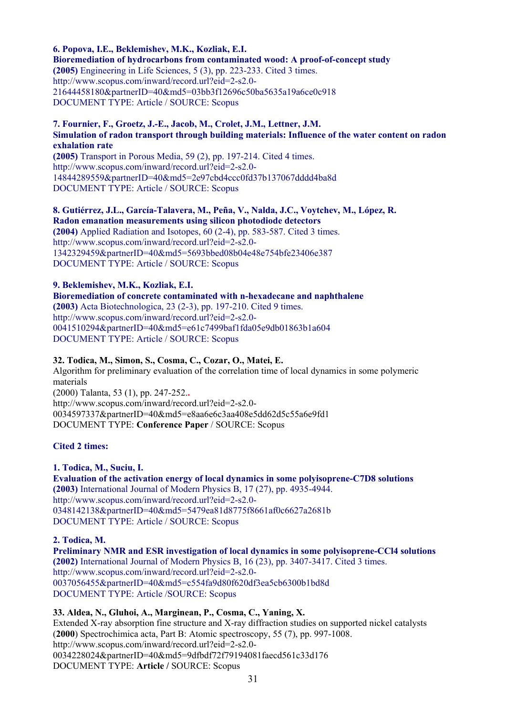**6. Popova, I.E., Beklemishev, M.K., Kozliak, E.I.** 

**Bioremediation of hydrocarbons from contaminated wood: A proof-of-concept study (2005)** Engineering in Life Sciences, 5 (3), pp. 223-233. Cited 3 times. http://www.scopus.com/inward/record.url?eid=2-s2.0- 21644458180&partnerID=40&md5=03bb3f12696c50ba5635a19a6ce0c918 DOCUMENT TYPE: Article / SOURCE: Scopus

#### **7. Fournier, F., Groetz, J.-E., Jacob, M., Crolet, J.M., Lettner, J.M. Simulation of radon transport through building materials: Influence of the water content on radon exhalation rate**

**(2005)** Transport in Porous Media, 59 (2), pp. 197-214. Cited 4 times. http://www.scopus.com/inward/record.url?eid=2-s2.0- 14844289559&partnerID=40&md5=2e97cbd4ccc0fd37b137067dddd4ba8d DOCUMENT TYPE: Article / SOURCE: Scopus

**8. Gutiérrez, J.L., García-Talavera, M., Peña, V., Nalda, J.C., Voytchev, M., López, R. Radon emanation measurements using silicon photodiode detectors (2004)** Applied Radiation and Isotopes, 60 (2-4), pp. 583-587. Cited 3 times. http://www.scopus.com/inward/record.url?eid=2-s2.0- 1342329459&partnerID=40&md5=5693bbed08b04e48e754bfe23406e387 DOCUMENT TYPE: Article / SOURCE: Scopus

# **9. Beklemishev, M.K., Kozliak, E.I.**

**Bioremediation of concrete contaminated with n-hexadecane and naphthalene (2003)** Acta Biotechnologica, 23 (2-3), pp. 197-210. Cited 9 times. http://www.scopus.com/inward/record.url?eid=2-s2.0- 0041510294&partnerID=40&md5=e61c7499baf1fda05e9db01863b1a604 DOCUMENT TYPE: Article / SOURCE: Scopus

# **32. Todica, M., Simon, S., Cosma, C., Cozar, O., Matei, E.**

Algorithm for preliminary evaluation of the correlation time of local dynamics in some polymeric materials

(2000) Talanta, 53 (1), pp. 247-252.**.**  http://www.scopus.com/inward/record.url?eid=2-s2.0- 0034597337&partnerID=40&md5=e8aa6e6c3aa408e5dd62d5c55a6e9fd1 DOCUMENT TYPE: **Conference Paper** / SOURCE: Scopus

# **Cited 2 times:**

# **1. Todica, M., Suciu, I.**

**Evaluation of the activation energy of local dynamics in some polyisoprene-C7D8 solutions (2003)** International Journal of Modern Physics B, 17 (27), pp. 4935-4944. http://www.scopus.com/inward/record.url?eid=2-s2.0- 0348142138&partnerID=40&md5=5479ea81d8775f8661af0c6627a2681b DOCUMENT TYPE: Article / SOURCE: Scopus

**2. Todica, M.** 

**Preliminary NMR and ESR investigation of local dynamics in some polyisoprene-CCl4 solutions (2002)** International Journal of Modern Physics B, 16 (23), pp. 3407-3417. Cited 3 times. http://www.scopus.com/inward/record.url?eid=2-s2.0- 0037056455&partnerID=40&md5=c554fa9d80f620df3ea5cb6300b1bd8d DOCUMENT TYPE: Article /SOURCE: Scopus

# **33. Aldea, N., Gluhoi, A., Marginean, P., Cosma, C., Yaning, X.**

Extended X-ray absorption fine structure and X-ray diffraction studies on supported nickel catalysts (**2000**) Spectrochimica acta, Part B: Atomic spectroscopy, 55 (7), pp. 997-1008. http://www.scopus.com/inward/record.url?eid=2-s2.0- 0034228024&partnerID=40&md5=9dfbdf72f79194081faecd561c33d176 DOCUMENT TYPE: **Article /** SOURCE: Scopus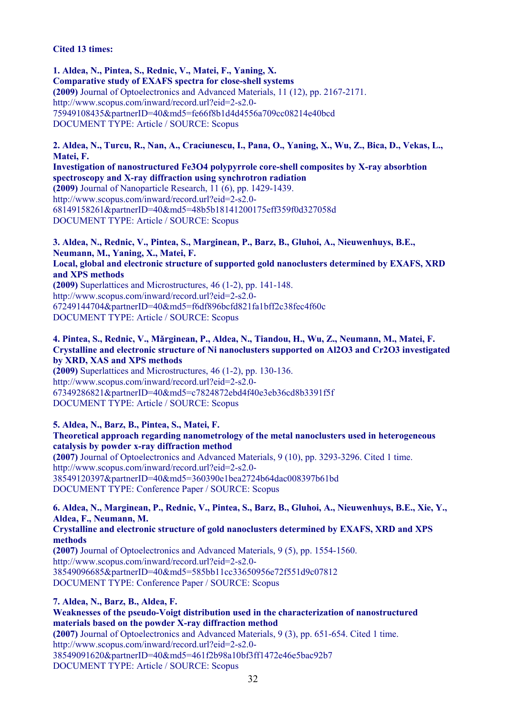#### **Cited 13 times:**

**1. Aldea, N., Pintea, S., Rednic, V., Matei, F., Yaning, X. Comparative study of EXAFS spectra for close-shell systems (2009)** Journal of Optoelectronics and Advanced Materials, 11 (12), pp. 2167-2171. http://www.scopus.com/inward/record.url?eid=2-s2.0- 75949108435&partnerID=40&md5=fe66f8b1d4d4556a709cc08214e40bcd DOCUMENT TYPE: Article / SOURCE: Scopus

**2. Aldea, N., Turcu, R., Nan, A., Craciunescu, I., Pana, O., Yaning, X., Wu, Z., Bica, D., Vekas, L., Matei, F.** 

**Investigation of nanostructured Fe3O4 polypyrrole core-shell composites by X-ray absorbtion spectroscopy and X-ray diffraction using synchrotron radiation (2009)** Journal of Nanoparticle Research, 11 (6), pp. 1429-1439. http://www.scopus.com/inward/record.url?eid=2-s2.0- 68149158261&partnerID=40&md5=48b5b18141200175eff359f0d327058d DOCUMENT TYPE: Article / SOURCE: Scopus

**3. Aldea, N., Rednic, V., Pintea, S., Marginean, P., Barz, B., Gluhoi, A., Nieuwenhuys, B.E., Neumann, M., Yaning, X., Matei, F. Local, global and electronic structure of supported gold nanoclusters determined by EXAFS, XRD and XPS methods (2009)** Superlattices and Microstructures, 46 (1-2), pp. 141-148. http://www.scopus.com/inward/record.url?eid=2-s2.0- 67249144704&partnerID=40&md5=f6df896bcfd821fa1bff2c38fec4f60c DOCUMENT TYPE: Article / SOURCE: Scopus

**4. Pintea, S., Rednic, V., Mǎrginean, P., Aldea, N., Tiandou, H., Wu, Z., Neumann, M., Matei, F. Crystalline and electronic structure of Ni nanoclusters supported on Al2O3 and Cr2O3 investigated by XRD, XAS and XPS methods** 

**(2009)** Superlattices and Microstructures, 46 (1-2), pp. 130-136. http://www.scopus.com/inward/record.url?eid=2-s2.0- 67349286821&partnerID=40&md5=c7824872ebd4f40e3eb36cd8b3391f5f DOCUMENT TYPE: Article / SOURCE: Scopus

**5. Aldea, N., Barz, B., Pintea, S., Matei, F. Theoretical approach regarding nanometrology of the metal nanoclusters used in heterogeneous catalysis by powder x-ray diffraction method (2007)** Journal of Optoelectronics and Advanced Materials, 9 (10), pp. 3293-3296. Cited 1 time. http://www.scopus.com/inward/record.url?eid=2-s2.0- 38549120397&partnerID=40&md5=360390e1bea2724b64dac008397b61bd DOCUMENT TYPE: Conference Paper / SOURCE: Scopus

**6. Aldea, N., Marginean, P., Rednic, V., Pintea, S., Barz, B., Gluhoi, A., Nieuwenhuys, B.E., Xie, Y., Aldea, F., Neumann, M. Crystalline and electronic structure of gold nanoclusters determined by EXAFS, XRD and XPS methods (2007)** Journal of Optoelectronics and Advanced Materials, 9 (5), pp. 1554-1560.

http://www.scopus.com/inward/record.url?eid=2-s2.0- 38549096685&partnerID=40&md5=585bb11cc33650956e72f551d9c07812 DOCUMENT TYPE: Conference Paper / SOURCE: Scopus

**7. Aldea, N., Barz, B., Aldea, F. Weaknesses of the pseudo-Voigt distribution used in the characterization of nanostructured materials based on the powder X-ray diffraction method (2007)** Journal of Optoelectronics and Advanced Materials, 9 (3), pp. 651-654. Cited 1 time. http://www.scopus.com/inward/record.url?eid=2-s2.0- 38549091620&partnerID=40&md5=461f2b98a10bf3ff1472e46e5bac92b7 DOCUMENT TYPE: Article / SOURCE: Scopus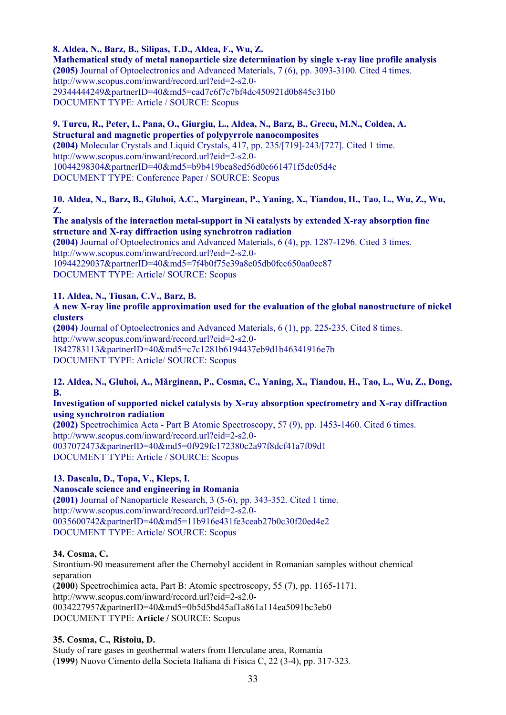**8. Aldea, N., Barz, B., Silipas, T.D., Aldea, F., Wu, Z.** 

**Mathematical study of metal nanoparticle size determination by single x-ray line profile analysis (2005)** Journal of Optoelectronics and Advanced Materials, 7 (6), pp. 3093-3100. Cited 4 times. http://www.scopus.com/inward/record.url?eid=2-s2.0- 29344444249&partnerID=40&md5=cad7c6f7c7bf4dc450921d0b845c31b0 DOCUMENT TYPE: Article / SOURCE: Scopus

# **9. Turcu, R., Peter, I., Pana, O., Giurgiu, L., Aldea, N., Barz, B., Grecu, M.N., Coldea, A. Structural and magnetic properties of polypyrrole nanocomposites**

**(2004)** Molecular Crystals and Liquid Crystals, 417, pp. 235/[719]-243/[727]. Cited 1 time. http://www.scopus.com/inward/record.url?eid=2-s2.0- 10044298304&partnerID=40&md5=b9b419bea8ed56d0c661471f5de05d4c DOCUMENT TYPE: Conference Paper / SOURCE: Scopus

# **10. Aldea, N., Barz, B., Gluhoi, A.C., Marginean, P., Yaning, X., Tiandou, H., Tao, L., Wu, Z., Wu, Z.**

#### **The analysis of the interaction metal-support in Ni catalysts by extended X-ray absorption fine structure and X-ray diffraction using synchrotron radiation**

**(2004)** Journal of Optoelectronics and Advanced Materials, 6 (4), pp. 1287-1296. Cited 3 times. http://www.scopus.com/inward/record.url?eid=2-s2.0- 10944229037&partnerID=40&md5=7f4b0f75e39a8e05db0fcc650aa0ec87 DOCUMENT TYPE: Article/ SOURCE: Scopus

# **11. Aldea, N., Tiusan, C.V., Barz, B.**

# **A new X-ray line profile approximation used for the evaluation of the global nanostructure of nickel clusters**

**(2004)** Journal of Optoelectronics and Advanced Materials, 6 (1), pp. 225-235. Cited 8 times. http://www.scopus.com/inward/record.url?eid=2-s2.0- 1842783113&partnerID=40&md5=c7c1281b6194437eb9d1b46341916e7b DOCUMENT TYPE: Article/ SOURCE: Scopus

#### **12. Aldea, N., Gluhoi, A., Mǎrginean, P., Cosma, C., Yaning, X., Tiandou, H., Tao, L., Wu, Z., Dong, B.**

#### **Investigation of supported nickel catalysts by X-ray absorption spectrometry and X-ray diffraction using synchrotron radiation**

**(2002)** Spectrochimica Acta - Part B Atomic Spectroscopy, 57 (9), pp. 1453-1460. Cited 6 times. http://www.scopus.com/inward/record.url?eid=2-s2.0- 0037072473&partnerID=40&md5=0f929fc172380c2a97f8dcf41a7f09d1 DOCUMENT TYPE: Article / SOURCE: Scopus

# **13. Dascalu, D., Topa, V., Kleps, I.**

# **Nanoscale science and engineering in Romania**

**(2001)** Journal of Nanoparticle Research, 3 (5-6), pp. 343-352. Cited 1 time. http://www.scopus.com/inward/record.url?eid=2-s2.0- 0035600742&partnerID=40&md5=11b916e431fe3ceab27b0c30f20ed4e2 DOCUMENT TYPE: Article/ SOURCE: Scopus

# **34. Cosma, C.**

Strontium-90 measurement after the Chernobyl accident in Romanian samples without chemical separation (**2000**) Spectrochimica acta, Part B: Atomic spectroscopy, 55 (7), pp. 1165-1171.

http://www.scopus.com/inward/record.url?eid=2-s2.0- 0034227957&partnerID=40&md5=0b5d5bd45af1a861a114ea5091bc3eb0

DOCUMENT TYPE: **Article /** SOURCE: Scopus

# **35. Cosma, C., Ristoiu, D.**

Study of rare gases in geothermal waters from Herculane area, Romania (**1999**) Nuovo Cimento della Societa Italiana di Fisica C, 22 (3-4), pp. 317-323.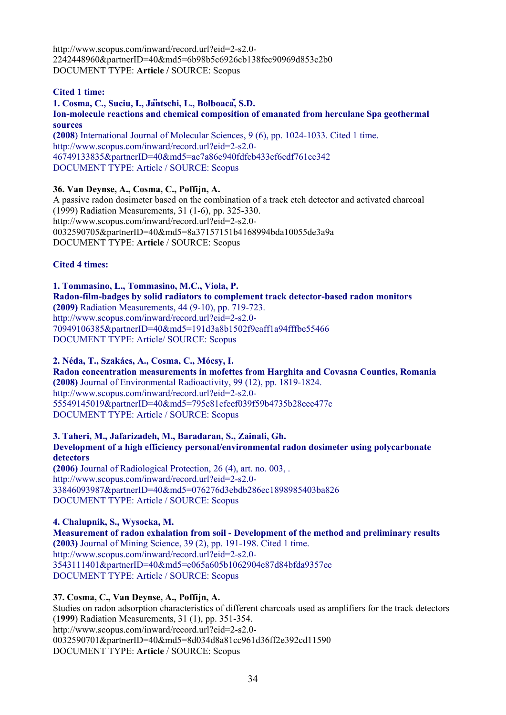http://www.scopus.com/inward/record.url?eid=2-s2.0- 2242448960&partnerID=40&md5=6b98b5c6926cb138fec90969d853c2b0 DOCUMENT TYPE: **Article /** SOURCE: Scopus

# **Cited 1 time:**

# **1. Cosma, C., Suciu, I., Jäntschi, L., Bolboacǎ, S.D. Ion-molecule reactions and chemical composition of emanated from herculane Spa geothermal sources**

**(2008**) International Journal of Molecular Sciences, 9 (6), pp. 1024-1033. Cited 1 time. http://www.scopus.com/inward/record.url?eid=2-s2.0- 46749133835&partnerID=40&md5=ae7a86e940fdfeb433ef6cdf761cc342 DOCUMENT TYPE: Article / SOURCE: Scopus

#### **36. Van Deynse, A., Cosma, C., Poffijn, A.**

A passive radon dosimeter based on the combination of a track etch detector and activated charcoal (1999) Radiation Measurements, 31 (1-6), pp. 325-330. http://www.scopus.com/inward/record.url?eid=2-s2.0- 0032590705&partnerID=40&md5=8a37157151b4168994bda10055de3a9a DOCUMENT TYPE: **Article** / SOURCE: Scopus

#### **Cited 4 times:**

**1. Tommasino, L., Tommasino, M.C., Viola, P. Radon-film-badges by solid radiators to complement track detector-based radon monitors (2009)** Radiation Measurements, 44 (9-10), pp. 719-723. http://www.scopus.com/inward/record.url?eid=2-s2.0- 70949106385&partnerID=40&md5=191d3a8b1502f9eaff1a94fffbe55466 DOCUMENT TYPE: Article/ SOURCE: Scopus

#### **2. Néda, T., Szakács, A., Cosma, C., Mócsy, I.**

**Radon concentration measurements in mofettes from Harghita and Covasna Counties, Romania (2008)** Journal of Environmental Radioactivity, 99 (12), pp. 1819-1824. http://www.scopus.com/inward/record.url?eid=2-s2.0- 55549145019&partnerID=40&md5=795e81cfeef039f59b4735b28eee477c DOCUMENT TYPE: Article / SOURCE: Scopus

**3. Taheri, M., Jafarizadeh, M., Baradaran, S., Zainali, Gh. Development of a high efficiency personal/environmental radon dosimeter using polycarbonate detectors (2006)** Journal of Radiological Protection, 26 (4), art. no. 003, .

http://www.scopus.com/inward/record.url?eid=2-s2.0- 33846093987&partnerID=40&md5=076276d3ebdb286ec1898985403ba826 DOCUMENT TYPE: Article / SOURCE: Scopus

**4. Chalupnik, S., Wysocka, M. Measurement of radon exhalation from soil - Development of the method and preliminary results (2003)** Journal of Mining Science, 39 (2), pp. 191-198. Cited 1 time. http://www.scopus.com/inward/record.url?eid=2-s2.0- 3543111401&partnerID=40&md5=e065a605b1062904e87d84bfda9357ee DOCUMENT TYPE: Article / SOURCE: Scopus

# **37. Cosma, C., Van Deynse, A., Poffijn, A.**

Studies on radon adsorption characteristics of different charcoals used as amplifiers for the track detectors (**1999**) Radiation Measurements, 31 (1), pp. 351-354. http://www.scopus.com/inward/record.url?eid=2-s2.0- 0032590701&partnerID=40&md5=8d034d8a81cc961d36ff2e392cd11590 DOCUMENT TYPE: **Article** / SOURCE: Scopus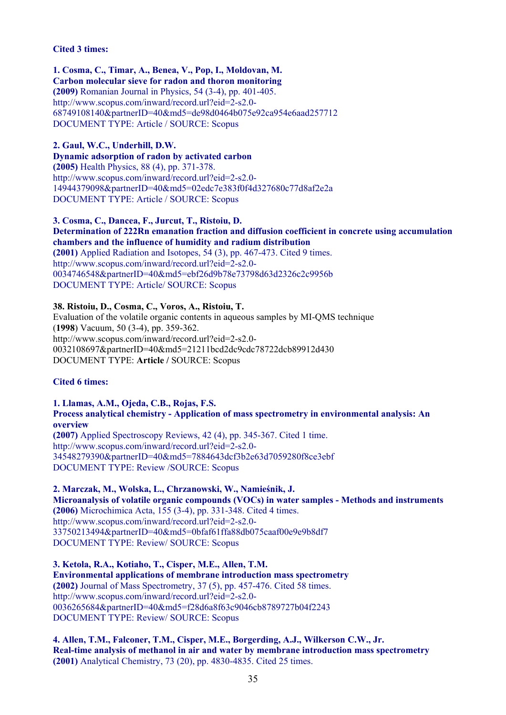#### **Cited 3 times:**

**1. Cosma, C., Timar, A., Benea, V., Pop, I., Moldovan, M. Carbon molecular sieve for radon and thoron monitoring (2009)** Romanian Journal in Physics, 54 (3-4), pp. 401-405. http://www.scopus.com/inward/record.url?eid=2-s2.0- 68749108140&partnerID=40&md5=de98d0464b075e92ca954e6aad257712 DOCUMENT TYPE: Article / SOURCE: Scopus

**2. Gaul, W.C., Underhill, D.W.** 

**Dynamic adsorption of radon by activated carbon (2005)** Health Physics, 88 (4), pp. 371-378. http://www.scopus.com/inward/record.url?eid=2-s2.0- 14944379098&partnerID=40&md5=02edc7e383f0f4d327680c77d8af2e2a DOCUMENT TYPE: Article / SOURCE: Scopus

**3. Cosma, C., Dancea, F., Jurcut, T., Ristoiu, D. Determination of 222Rn emanation fraction and diffusion coefficient in concrete using accumulation chambers and the influence of humidity and radium distribution (2001)** Applied Radiation and Isotopes, 54 (3), pp. 467-473. Cited 9 times. http://www.scopus.com/inward/record.url?eid=2-s2.0- 0034746548&partnerID=40&md5=ebf26d9b78e73798d63d2326c2c9956b DOCUMENT TYPE: Article/ SOURCE: Scopus

#### **38. Ristoiu, D., Cosma, C., Voros, A., Ristoiu, T.**

Evaluation of the volatile organic contents in aqueous samples by MI-QMS technique (**1998**) Vacuum, 50 (3-4), pp. 359-362. http://www.scopus.com/inward/record.url?eid=2-s2.0- 0032108697&partnerID=40&md5=21211bcd2dc9cdc78722dcb89912d430 DOCUMENT TYPE: **Article /** SOURCE: Scopus

# **Cited 6 times:**

**1. Llamas, A.M., Ojeda, C.B., Rojas, F.S. Process analytical chemistry - Application of mass spectrometry in environmental analysis: An overview (2007)** Applied Spectroscopy Reviews, 42 (4), pp. 345-367. Cited 1 time. http://www.scopus.com/inward/record.url?eid=2-s2.0- 34548279390&partnerID=40&md5=7884643dcf3b2e63d7059280f8ce3ebf DOCUMENT TYPE: Review /SOURCE: Scopus

**2. Marczak, M., Wolska, L., Chrzanowski, W., Namieśnik, J. Microanalysis of volatile organic compounds (VOCs) in water samples - Methods and instruments (2006)** Microchimica Acta, 155 (3-4), pp. 331-348. Cited 4 times. http://www.scopus.com/inward/record.url?eid=2-s2.0- 33750213494&partnerID=40&md5=0bfaf61ffa88db075caaf00e9e9b8df7 DOCUMENT TYPE: Review/ SOURCE: Scopus

**3. Ketola, R.A., Kotiaho, T., Cisper, M.E., Allen, T.M. Environmental applications of membrane introduction mass spectrometry (2002)** Journal of Mass Spectrometry, 37 (5), pp. 457-476. Cited 58 times. http://www.scopus.com/inward/record.url?eid=2-s2.0- 0036265684&partnerID=40&md5=f28d6a8f63c9046cb8789727b04f2243 DOCUMENT TYPE: Review/ SOURCE: Scopus

**4. Allen, T.M., Falconer, T.M., Cisper, M.E., Borgerding, A.J., Wilkerson C.W., Jr. Real-time analysis of methanol in air and water by membrane introduction mass spectrometry (2001)** Analytical Chemistry, 73 (20), pp. 4830-4835. Cited 25 times.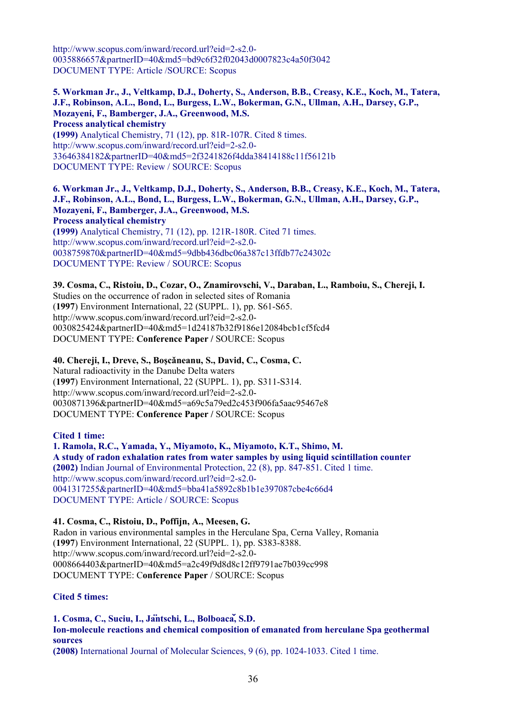http://www.scopus.com/inward/record.url?eid=2-s2.0- 0035886657&partnerID=40&md5=bd9c6f32f02043d0007823c4a50f3042 DOCUMENT TYPE: Article /SOURCE: Scopus

**5. Workman Jr., J., Veltkamp, D.J., Doherty, S., Anderson, B.B., Creasy, K.E., Koch, M., Tatera, J.F., Robinson, A.L., Bond, L., Burgess, L.W., Bokerman, G.N., Ullman, A.H., Darsey, G.P., Mozayeni, F., Bamberger, J.A., Greenwood, M.S. Process analytical chemistry (1999)** Analytical Chemistry, 71 (12), pp. 81R-107R. Cited 8 times. http://www.scopus.com/inward/record.url?eid=2-s2.0-

33646384182&partnerID=40&md5=2f3241826f4dda38414188c11f56121b DOCUMENT TYPE: Review / SOURCE: Scopus

**6. Workman Jr., J., Veltkamp, D.J., Doherty, S., Anderson, B.B., Creasy, K.E., Koch, M., Tatera, J.F., Robinson, A.L., Bond, L., Burgess, L.W., Bokerman, G.N., Ullman, A.H., Darsey, G.P., Mozayeni, F., Bamberger, J.A., Greenwood, M.S. Process analytical chemistry (1999)** Analytical Chemistry, 71 (12), pp. 121R-180R. Cited 71 times. http://www.scopus.com/inward/record.url?eid=2-s2.0- 0038759870&partnerID=40&md5=9dbb436dbc06a387c13ffdb77c24302c DOCUMENT TYPE: Review / SOURCE: Scopus

**39. Cosma, C., Ristoiu, D., Cozar, O., Znamirovschi, V., Daraban, L., Ramboiu, S., Chereji, I.** 

Studies on the occurrence of radon in selected sites of Romania (**1997**) Environment International, 22 (SUPPL. 1), pp. S61-S65. http://www.scopus.com/inward/record.url?eid=2-s2.0- 0030825424&partnerID=40&md5=1d24187b32f9186e12084bcb1cf5fcd4 DOCUMENT TYPE: **Conference Paper /** SOURCE: Scopus

**40. Chereji, I., Dreve, S., Boşcǎneanu, S., David, C., Cosma, C.**  Natural radioactivity in the Danube Delta waters (**1997**) Environment International, 22 (SUPPL. 1), pp. S311-S314. http://www.scopus.com/inward/record.url?eid=2-s2.0- 0030871396&partnerID=40&md5=a69c5a79ed2c453f906fa5aac95467e8 DOCUMENT TYPE: **Conference Paper /** SOURCE: Scopus

# **Cited 1 time:**

**1. Ramola, R.C., Yamada, Y., Miyamoto, K., Miyamoto, K.T., Shimo, M. A study of radon exhalation rates from water samples by using liquid scintillation counter (2002)** Indian Journal of Environmental Protection, 22 (8), pp. 847-851. Cited 1 time. http://www.scopus.com/inward/record.url?eid=2-s2.0- 0041317255&partnerID=40&md5=bba41a5892c8b1b1e397087cbe4c66d4 DOCUMENT TYPE: Article / SOURCE: Scopus

**41. Cosma, C., Ristoiu, D., Poffijn, A., Meesen, G.**  Radon in various environmental samples in the Herculane Spa, Cerna Valley, Romania (**1997**) Environment International, 22 (SUPPL. 1), pp. S383-8388. http://www.scopus.com/inward/record.url?eid=2-s2.0- 0008664403&partnerID=40&md5=a2c49f9d8d8c12ff9791ae7b039cc998 DOCUMENT TYPE: C**onference Paper** / SOURCE: Scopus

**Cited 5 times:** 

**1. Cosma, C., Suciu, I., Jäntschi, L., Bolboacǎ, S.D. Ion-molecule reactions and chemical composition of emanated from herculane Spa geothermal sources** 

**(2008)** International Journal of Molecular Sciences, 9 (6), pp. 1024-1033. Cited 1 time.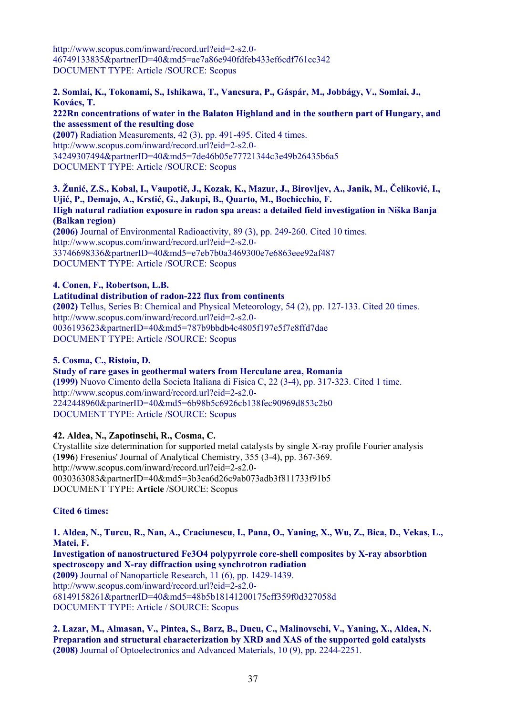http://www.scopus.com/inward/record.url?eid=2-s2.0- 46749133835&partnerID=40&md5=ae7a86e940fdfeb433ef6cdf761cc342 DOCUMENT TYPE: Article /SOURCE: Scopus

# **2. Somlai, K., Tokonami, S., Ishikawa, T., Vancsura, P., Gáspár, M., Jobbágy, V., Somlai, J., Kovács, T.**

#### **222Rn concentrations of water in the Balaton Highland and in the southern part of Hungary, and the assessment of the resulting dose**

**(2007)** Radiation Measurements, 42 (3), pp. 491-495. Cited 4 times. http://www.scopus.com/inward/record.url?eid=2-s2.0- 34249307494&partnerID=40&md5=7de46b05e77721344c3e49b26435b6a5 DOCUMENT TYPE: Article /SOURCE: Scopus

# **3. Žunić, Z.S., Kobal, I., Vaupotič, J., Kozak, K., Mazur, J., Birovljev, A., Janik, M., Čeliković, I., Ujić, P., Demajo, A., Krstić, G., Jakupi, B., Quarto, M., Bochicchio, F.**

**High natural radiation exposure in radon spa areas: a detailed field investigation in Niška Banja (Balkan region)** 

**(2006)** Journal of Environmental Radioactivity, 89 (3), pp. 249-260. Cited 10 times. http://www.scopus.com/inward/record.url?eid=2-s2.0- 33746698336&partnerID=40&md5=e7eb7b0a3469300e7e6863eee92af487 DOCUMENT TYPE: Article /SOURCE: Scopus

# **4. Conen, F., Robertson, L.B.**

#### **Latitudinal distribution of radon-222 flux from continents**

**(2002)** Tellus, Series B: Chemical and Physical Meteorology, 54 (2), pp. 127-133. Cited 20 times. http://www.scopus.com/inward/record.url?eid=2-s2.0- 0036193623&partnerID=40&md5=787b9bbdb4c4805f197e5f7e8ffd7dae DOCUMENT TYPE: Article /SOURCE: Scopus

#### **5. Cosma, C., Ristoiu, D.**

#### **Study of rare gases in geothermal waters from Herculane area, Romania**

**(1999)** Nuovo Cimento della Societa Italiana di Fisica C, 22 (3-4), pp. 317-323. Cited 1 time. http://www.scopus.com/inward/record.url?eid=2-s2.0- 2242448960&partnerID=40&md5=6b98b5c6926cb138fec90969d853c2b0 DOCUMENT TYPE: Article /SOURCE: Scopus

# **42. Aldea, N., Zapotinschi, R., Cosma, C.**

Crystallite size determination for supported metal catalysts by single X-ray profile Fourier analysis (**1996**) Fresenius' Journal of Analytical Chemistry, 355 (3-4), pp. 367-369. http://www.scopus.com/inward/record.url?eid=2-s2.0- 0030363083&partnerID=40&md5=3b3ea6d26c9ab073adb3f811733f91b5 DOCUMENT TYPE: **Article** /SOURCE: Scopus

# **Cited 6 times:**

**1. Aldea, N., Turcu, R., Nan, A., Craciunescu, I., Pana, O., Yaning, X., Wu, Z., Bica, D., Vekas, L., Matei, F.** 

**Investigation of nanostructured Fe3O4 polypyrrole core-shell composites by X-ray absorbtion spectroscopy and X-ray diffraction using synchrotron radiation (2009)** Journal of Nanoparticle Research, 11 (6), pp. 1429-1439. http://www.scopus.com/inward/record.url?eid=2-s2.0- 68149158261&partnerID=40&md5=48b5b18141200175eff359f0d327058d DOCUMENT TYPE: Article / SOURCE: Scopus

**2. Lazar, M., Almasan, V., Pintea, S., Barz, B., Ducu, C., Malinovschi, V., Yaning, X., Aldea, N. Preparation and structural characterization by XRD and XAS of the supported gold catalysts (2008)** Journal of Optoelectronics and Advanced Materials, 10 (9), pp. 2244-2251.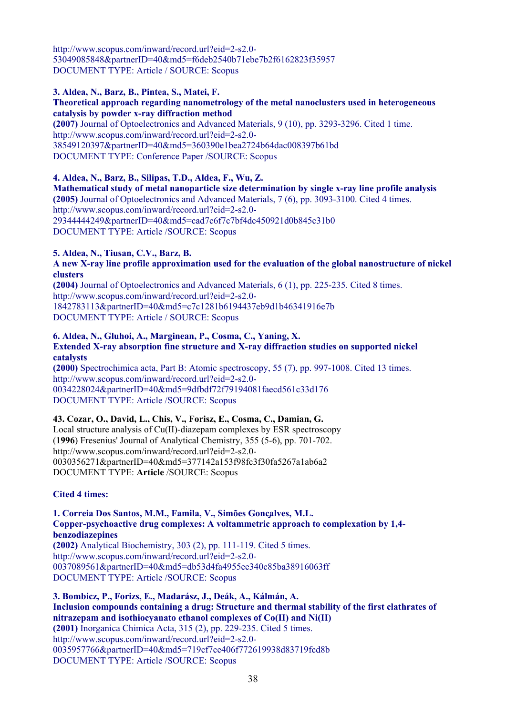http://www.scopus.com/inward/record.url?eid=2-s2.0- 53049085848&partnerID=40&md5=f6deb2540b71ebe7b2f6162823f35957 DOCUMENT TYPE: Article / SOURCE: Scopus

#### **3. Aldea, N., Barz, B., Pintea, S., Matei, F.**

#### **Theoretical approach regarding nanometrology of the metal nanoclusters used in heterogeneous catalysis by powder x-ray diffraction method**

**(2007)** Journal of Optoelectronics and Advanced Materials, 9 (10), pp. 3293-3296. Cited 1 time. http://www.scopus.com/inward/record.url?eid=2-s2.0- 38549120397&partnerID=40&md5=360390e1bea2724b64dac008397b61bd DOCUMENT TYPE: Conference Paper /SOURCE: Scopus

**4. Aldea, N., Barz, B., Silipas, T.D., Aldea, F., Wu, Z. Mathematical study of metal nanoparticle size determination by single x-ray line profile analysis (2005)** Journal of Optoelectronics and Advanced Materials, 7 (6), pp. 3093-3100. Cited 4 times. http://www.scopus.com/inward/record.url?eid=2-s2.0- 29344444249&partnerID=40&md5=cad7c6f7c7bf4dc450921d0b845c31b0 DOCUMENT TYPE: Article /SOURCE: Scopus

**5. Aldea, N., Tiusan, C.V., Barz, B.** 

#### **A new X-ray line profile approximation used for the evaluation of the global nanostructure of nickel clusters**

**(2004)** Journal of Optoelectronics and Advanced Materials, 6 (1), pp. 225-235. Cited 8 times. http://www.scopus.com/inward/record.url?eid=2-s2.0- 1842783113&partnerID=40&md5=c7c1281b6194437eb9d1b46341916e7b DOCUMENT TYPE: Article / SOURCE: Scopus

#### **6. Aldea, N., Gluhoi, A., Marginean, P., Cosma, C., Yaning, X. Extended X-ray absorption fine structure and X-ray diffraction studies on supported nickel**

**catalysts (2000)** Spectrochimica acta, Part B: Atomic spectroscopy, 55 (7), pp. 997-1008. Cited 13 times. http://www.scopus.com/inward/record.url?eid=2-s2.0- 0034228024&partnerID=40&md5=9dfbdf72f79194081faecd561c33d176 DOCUMENT TYPE: Article /SOURCE: Scopus

# **43. Cozar, O., David, L., Chis, V., Forisz, E., Cosma, C., Damian, G.**

Local structure analysis of Cu(II)-diazepam complexes by ESR spectroscopy (**1996**) Fresenius' Journal of Analytical Chemistry, 355 (5-6), pp. 701-702. http://www.scopus.com/inward/record.url?eid=2-s2.0- 0030356271&partnerID=40&md5=377142a153f98fc3f30fa5267a1ab6a2 DOCUMENT TYPE: **Article** /SOURCE: Scopus

# **Cited 4 times:**

# **1. Correia Dos Santos, M.M., Famila, V., Simões Gonçalves, M.L. Copper-psychoactive drug complexes: A voltammetric approach to complexation by 1,4-**

**benzodiazepines (2002)** Analytical Biochemistry, 303 (2), pp. 111-119. Cited 5 times. http://www.scopus.com/inward/record.url?eid=2-s2.0- 0037089561&partnerID=40&md5=db53d4fa4955ee340c85ba38916063ff DOCUMENT TYPE: Article /SOURCE: Scopus

**3. Bombicz, P., Forizs, E., Madarász, J., Deák, A., Kálmán, A. Inclusion compounds containing a drug: Structure and thermal stability of the first clathrates of nitrazepam and isothiocyanato ethanol complexes of Co(II) and Ni(II) (2001)** Inorganica Chimica Acta, 315 (2), pp. 229-235. Cited 5 times. http://www.scopus.com/inward/record.url?eid=2-s2.0- 0035957766&partnerID=40&md5=719cf7ce406f772619938d83719fcd8b DOCUMENT TYPE: Article /SOURCE: Scopus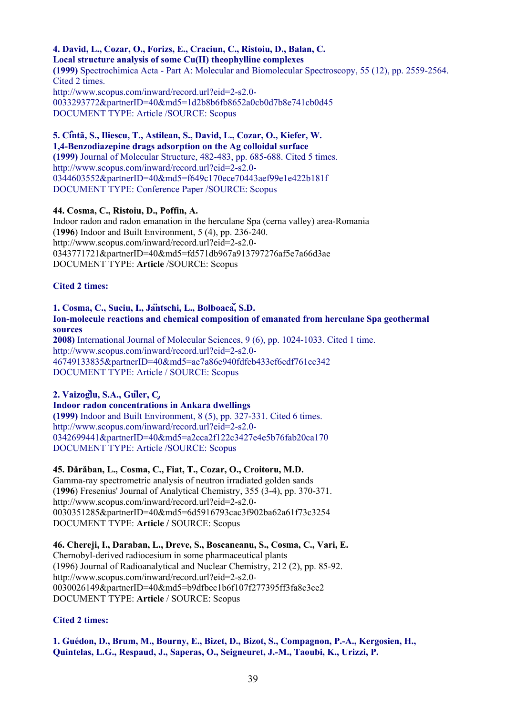#### **4. David, L., Cozar, O., Forizs, E., Craciun, C., Ristoiu, D., Balan, C. Local structure analysis of some Cu(II) theophylline complexes (1999)** Spectrochimica Acta - Part A: Molecular and Biomolecular Spectroscopy, 55 (12), pp. 2559-2564. Cited 2 times. http://www.scopus.com/inward/record.url?eid=2-s2.0- 0033293772&partnerID=40&md5=1d2b8b6fb8652a0cb0d7b8e741cb0d45 DOCUMENT TYPE: Article /SOURCE: Scopus

**5. Cîntã, S., Iliescu, T., Astilean, S., David, L., Cozar, O., Kiefer, W. 1,4-Benzodiazepine drags adsorption on the Ag colloidal surface (1999)** Journal of Molecular Structure, 482-483, pp. 685-688. Cited 5 times. http://www.scopus.com/inward/record.url?eid=2-s2.0- 0344603552&partnerID=40&md5=f649c170ece70443aef99e1e422b181f DOCUMENT TYPE: Conference Paper /SOURCE: Scopus

#### **44. Cosma, C., Ristoiu, D., Poffin, A.**

Indoor radon and radon emanation in the herculane Spa (cerna valley) area-Romania (**1996**) Indoor and Built Environment, 5 (4), pp. 236-240. http://www.scopus.com/inward/record.url?eid=2-s2.0- 0343771721&partnerID=40&md5=fd571db967a913797276af5e7a66d3ae DOCUMENT TYPE: **Article** /SOURCE: Scopus

#### **Cited 2 times:**

#### **1. Cosma, C., Suciu, I., Jäntschi, L., Bolboacǎ, S.D. Ion-molecule reactions and chemical composition of emanated from herculane Spa geothermal sources**

**2008)** International Journal of Molecular Sciences, 9 (6), pp. 1024-1033. Cited 1 time. http://www.scopus.com/inward/record.url?eid=2-s2.0- 46749133835&partnerID=40&md5=ae7a86e940fdfeb433ef6cdf761cc342 DOCUMENT TYPE: Article / SOURCE: Scopus

# **2. Vaizoǧlu, S.A., Güler, Ç.**

#### **Indoor radon concentrations in Ankara dwellings (1999)** Indoor and Built Environment, 8 (5), pp. 327-331. Cited 6 times. http://www.scopus.com/inward/record.url?eid=2-s2.0- 0342699441&partnerID=40&md5=a2cca2f122c3427e4e5b76fab20ca170 DOCUMENT TYPE: Article /SOURCE: Scopus

# **45. Dǎrǎban, L., Cosma, C., Fiat, T., Cozar, O., Croitoru, M.D.**

Gamma-ray spectrometric analysis of neutron irradiated golden sands (**1996**) Fresenius' Journal of Analytical Chemistry, 355 (3-4), pp. 370-371. http://www.scopus.com/inward/record.url?eid=2-s2.0- 0030351285&partnerID=40&md5=6d5916793cac3f902ba62a61f73c3254 DOCUMENT TYPE: **Article /** SOURCE: Scopus

**46. Chereji, I., Daraban, L., Dreve, S., Boscaneanu, S., Cosma, C., Vari, E.**  Chernobyl-derived radiocesium in some pharmaceutical plants (1996) Journal of Radioanalytical and Nuclear Chemistry, 212 (2), pp. 85-92. http://www.scopus.com/inward/record.url?eid=2-s2.0- 0030026149&partnerID=40&md5=b9dfbec1b6f107f277395ff3fa8c3ce2 DOCUMENT TYPE: **Article** / SOURCE: Scopus

# **Cited 2 times:**

**1. Guédon, D., Brum, M., Bourny, E., Bizet, D., Bizot, S., Compagnon, P.-A., Kergosien, H., Quintelas, L.G., Respaud, J., Saperas, O., Seigneuret, J.-M., Taoubi, K., Urizzi, P.**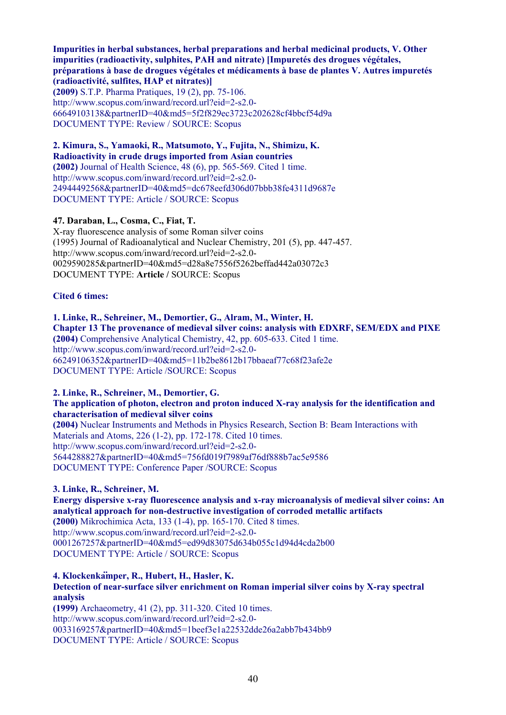**Impurities in herbal substances, herbal preparations and herbal medicinal products, V. Other impurities (radioactivity, sulphites, PAH and nitrate) [Impuretés des drogues végétales, préparations à base de drogues végétales et médicaments à base de plantes V. Autres impuretés (radioactivité, sulfites, HAP et nitrates)]** 

**(2009)** S.T.P. Pharma Pratiques, 19 (2), pp. 75-106. http://www.scopus.com/inward/record.url?eid=2-s2.0- 66649103138&partnerID=40&md5=5f2f829ec3723c202628cf4bbcf54d9a DOCUMENT TYPE: Review / SOURCE: Scopus

**2. Kimura, S., Yamaoki, R., Matsumoto, Y., Fujita, N., Shimizu, K. Radioactivity in crude drugs imported from Asian countries (2002)** Journal of Health Science, 48 (6), pp. 565-569. Cited 1 time. http://www.scopus.com/inward/record.url?eid=2-s2.0- 24944492568&partnerID=40&md5=dc678eefd306d07bbb38fe4311d9687e DOCUMENT TYPE: Article / SOURCE: Scopus

#### **47. Daraban, L., Cosma, C., Fiat, T.**

X-ray fluorescence analysis of some Roman silver coins (1995) Journal of Radioanalytical and Nuclear Chemistry, 201 (5), pp. 447-457. http://www.scopus.com/inward/record.url?eid=2-s2.0- 0029590285&partnerID=40&md5=d28a8e7556f5262beffad442a03072c3 DOCUMENT TYPE: **Article /** SOURCE: Scopus

#### **Cited 6 times:**

**1. Linke, R., Sehreiner, M., Demortier, G., Alram, M., Winter, H. Chapter 13 The provenance of medieval silver coins: analysis with EDXRF, SEM/EDX and PIXE (2004)** Comprehensive Analytical Chemistry, 42, pp. 605-633. Cited 1 time. http://www.scopus.com/inward/record.url?eid=2-s2.0- 66249106352&partnerID=40&md5=11b2be8612b17bbaeaf77c68f23afe2e DOCUMENT TYPE: Article /SOURCE: Scopus

**2. Linke, R., Schreiner, M., Demortier, G.** 

#### **The application of photon, electron and proton induced X-ray analysis for the identification and characterisation of medieval silver coins**

**(2004)** Nuclear Instruments and Methods in Physics Research, Section B: Beam Interactions with Materials and Atoms, 226 (1-2), pp. 172-178. Cited 10 times. http://www.scopus.com/inward/record.url?eid=2-s2.0- 5644288827&partnerID=40&md5=756fd019f7989af76df888b7ac5e9586 DOCUMENT TYPE: Conference Paper /SOURCE: Scopus

**3. Linke, R., Schreiner, M. Energy dispersive x-ray fluorescence analysis and x-ray microanalysis of medieval silver coins: An analytical approach for non-destructive investigation of corroded metallic artifacts (2000)** Mikrochimica Acta, 133 (1-4), pp. 165-170. Cited 8 times. http://www.scopus.com/inward/record.url?eid=2-s2.0- 0001267257&partnerID=40&md5=ed99d83075d634b055c1d94d4cda2b00 DOCUMENT TYPE: Article / SOURCE: Scopus

**4. Klockenkämper, R., Hubert, H., Hasler, K.** 

**Detection of near-surface silver enrichment on Roman imperial silver coins by X-ray spectral analysis (1999)** Archaeometry, 41 (2), pp. 311-320. Cited 10 times.

http://www.scopus.com/inward/record.url?eid=2-s2.0- 0033169257&partnerID=40&md5=1beef3e1a22532dde26a2abb7b434bb9 DOCUMENT TYPE: Article / SOURCE: Scopus